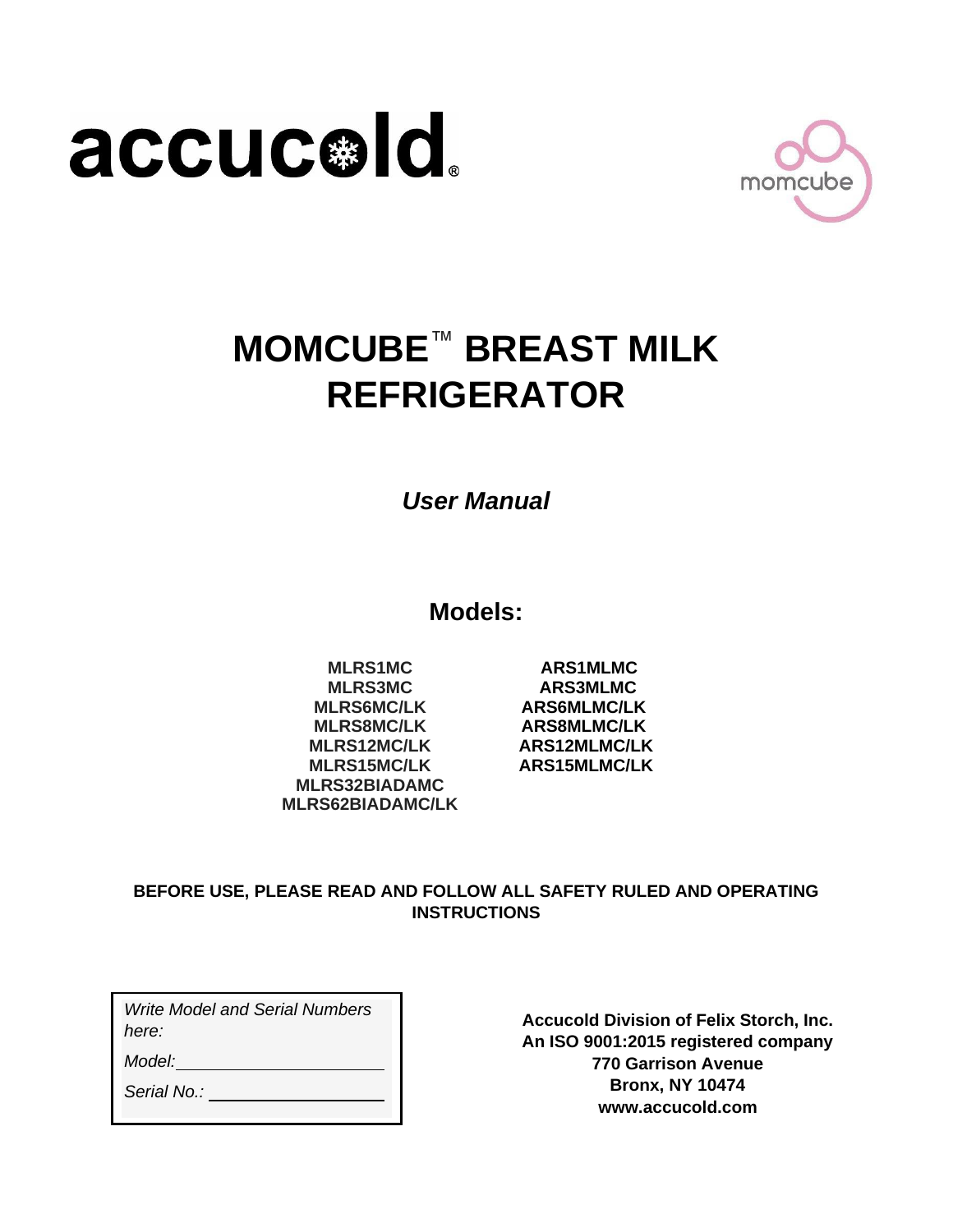



# **MOMCUBE**™ **BREAST MILK REFRIGERATOR**

*User Manual*

**Models:**

**MLRS1MC ARS1MLMC MLRS3MC ARS3MLMC MLRS6MC/LK ARS6MLMC/LK MLRS8MC/LK ARS8MLMC/LK MLRS12MC/LK ARS12MLMC/LK MLRS15MC/LK ARS15MLMC/LK MLRS32BIADAMC MLRS62BIADAMC/LK**

#### **BEFORE USE, PLEASE READ AND FOLLOW ALL SAFETY RULED AND OPERATING INSTRUCTIONS**

*Write Model and Serial Numbers here:*

*Model:*

*Serial No.:* 

**Accucold Division of Felix Storch, Inc. An ISO 9001:2015 registered company 770 Garrison Avenue Bronx, NY 10474 [www.accucold.com](http://www.accucold.com/)**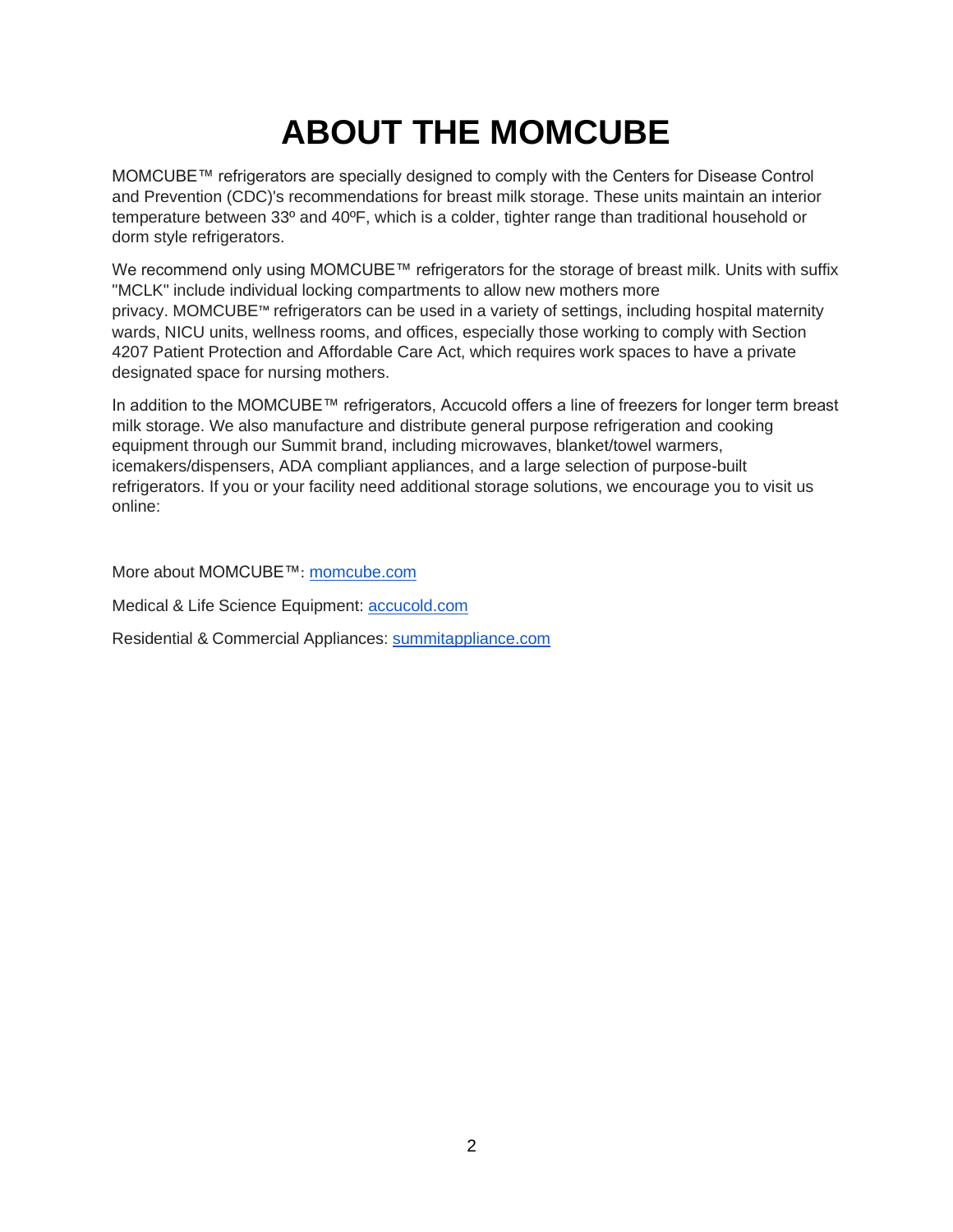# **ABOUT THE MOMCUBE**

MOMCUBE™ refrigerators are specially designed to comply with the Centers for Disease Control and Prevention (CDC)'s recommendations for breast milk storage. These units maintain an interior temperature between 33º and 40ºF, which is a colder, tighter range than traditional household or dorm style refrigerators.

We recommend only using MOMCUBE™ refrigerators for the storage of breast milk. Units with suffix "MCLK" include individual locking compartments to allow new mothers more privacy. MOMCUBE™ refrigerators can be used in a variety of settings, including hospital maternity wards, NICU units, wellness rooms, and offices, especially those working to comply with Section 4207 Patient Protection and Affordable Care Act, which requires work spaces to have a private designated space for nursing mothers.

In addition to the MOMCUBE™ refrigerators, Accucold offers a line of freezers for longer term breast milk storage. We also manufacture and distribute general purpose refrigeration and cooking equipment through our Summit brand, including microwaves, blanket/towel warmers, icemakers/dispensers, ADA compliant appliances, and a large selection of purpose-built refrigerators. If you or your facility need additional storage solutions, we encourage you to visit us online:

More about MOMCUBE™: [momcube.com](http://momcube.com/)

Medical & Life Science Equipment: [accucold.com](http://accucold.com/)

Residential & Commercial Appliances: [summitappliance.com](http://summitappliance.com/)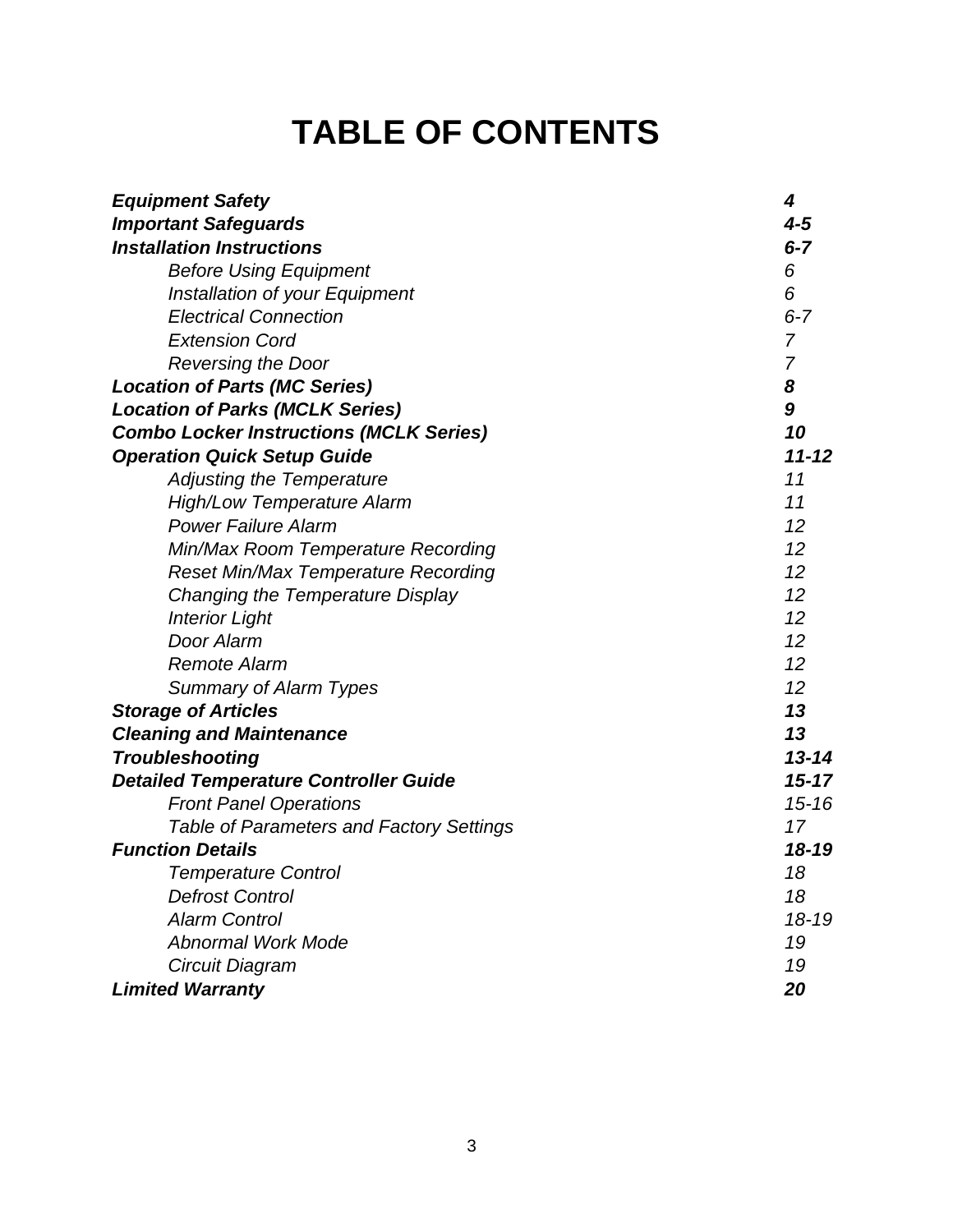### **TABLE OF CONTENTS**

| <b>Equipment Safety</b>                         | 4              |
|-------------------------------------------------|----------------|
| <b>Important Safeguards</b>                     | $4 - 5$        |
| <b>Installation Instructions</b>                | $6 - 7$        |
| <b>Before Using Equipment</b>                   | 6              |
| Installation of your Equipment                  | 6              |
| <b>Electrical Connection</b>                    | $6 - 7$        |
| <b>Extension Cord</b>                           | $\overline{7}$ |
| <b>Reversing the Door</b>                       | $\overline{7}$ |
| <b>Location of Parts (MC Series)</b>            | 8              |
| <b>Location of Parks (MCLK Series)</b>          | 9              |
| <b>Combo Locker Instructions (MCLK Series)</b>  | 10             |
| <b>Operation Quick Setup Guide</b>              | $11 - 12$      |
| <b>Adjusting the Temperature</b>                | 11             |
| <b>High/Low Temperature Alarm</b>               | 11             |
| <b>Power Failure Alarm</b>                      | 12             |
| Min/Max Room Temperature Recording              | 12             |
| <b>Reset Min/Max Temperature Recording</b>      | 12             |
| Changing the Temperature Display                | 12             |
| <b>Interior Light</b>                           | 12             |
| Door Alarm                                      | 12             |
| <b>Remote Alarm</b>                             | 12             |
| <b>Summary of Alarm Types</b>                   | 12             |
| <b>Storage of Articles</b>                      | 13             |
| <b>Cleaning and Maintenance</b>                 | 13             |
| <b>Troubleshooting</b>                          | $13 - 14$      |
| <b>Detailed Temperature Controller Guide</b>    | $15 - 17$      |
| <b>Front Panel Operations</b>                   | $15 - 16$      |
| <b>Table of Parameters and Factory Settings</b> | 17             |
| <b>Function Details</b>                         | $18 - 19$      |
| <b>Temperature Control</b>                      | 18             |
| <b>Defrost Control</b>                          | 18             |
| <b>Alarm Control</b>                            | $18 - 19$      |
| <b>Abnormal Work Mode</b>                       | 19             |
| Circuit Diagram                                 | 19             |
| <b>Limited Warranty</b>                         | 20             |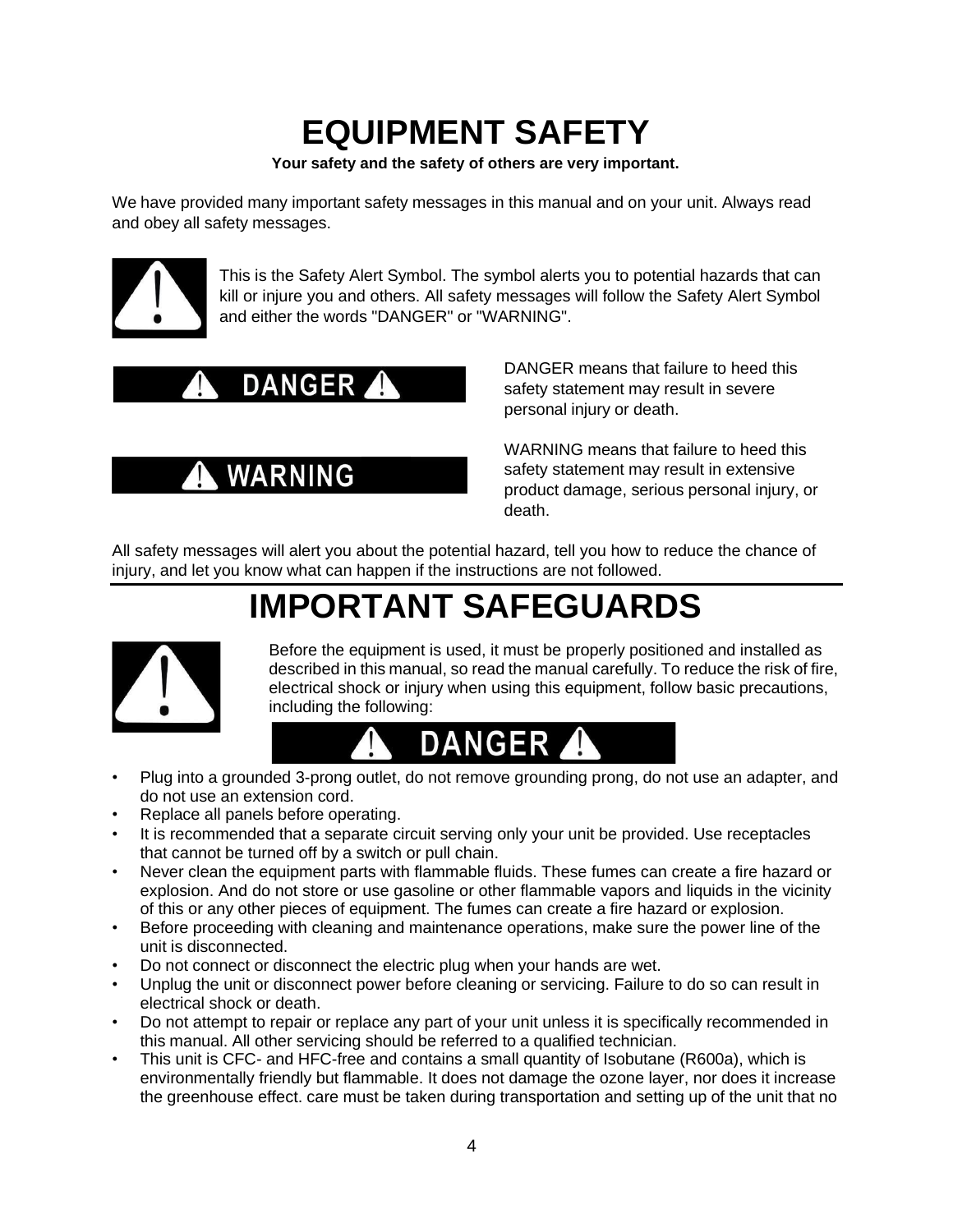### **EQUIPMENT SAFETY**

**Your safety and the safety of others are very important.**

<span id="page-3-0"></span>We have provided many important safety messages in this manual and on your unit. Always read and obey all safety messages.



This is the Safety Alert Symbol. The symbol alerts you to potential hazards that can kill or injure you and others. All safety messages will follow the Safety Alert Symbol and either the words "DANGER" or "WARNING".

### **DANGER**

**WARNING** 

DANGER means that failure to heed this safety statement may result in severe personal injury or death.

WARNING means that failure to heed this safety statement may result in extensive product damage, serious personal injury, or death.

All safety messages will alert you about the potential hazard, tell you how to reduce the chance of injury, and let you know what can happen if the instructions are not followed.

### **IMPORTANT SAFEGUARDS**

<span id="page-3-1"></span>

Before the equipment is used, it must be properly positioned and installed as described in this manual, so read the manual carefully. To reduce the risk of fire, electrical shock or injury when using this equipment, follow basic precautions, including the following:



- Plug into a grounded 3-prong outlet, do not remove grounding prong, do not use an adapter, and do not use an extension cord.
- Replace all panels before operating.
- It is recommended that a separate circuit serving only your unit be provided. Use receptacles that cannot be turned off by a switch or pull chain.
- Never clean the equipment parts with flammable fluids. These fumes can create a fire hazard or explosion. And do not store or use gasoline or other flammable vapors and liquids in the vicinity of this or any other pieces of equipment. The fumes can create a fire hazard or explosion.
- Before proceeding with cleaning and maintenance operations, make sure the power line of the unit is disconnected.
- Do not connect or disconnect the electric plug when your hands are wet.
- Unplug the unit or disconnect power before cleaning or servicing. Failure to do so can result in electrical shock or death.
- Do not attempt to repair or replace any part of your unit unless it is specifically recommended in this manual. All other servicing should be referred to a qualified technician.
- This unit is CFC- and HFC-free and contains a small quantity of Isobutane (R600a), which is environmentally friendly but flammable. It does not damage the ozone layer, nor does it increase the greenhouse effect. care must be taken during transportation and setting up of the unit that no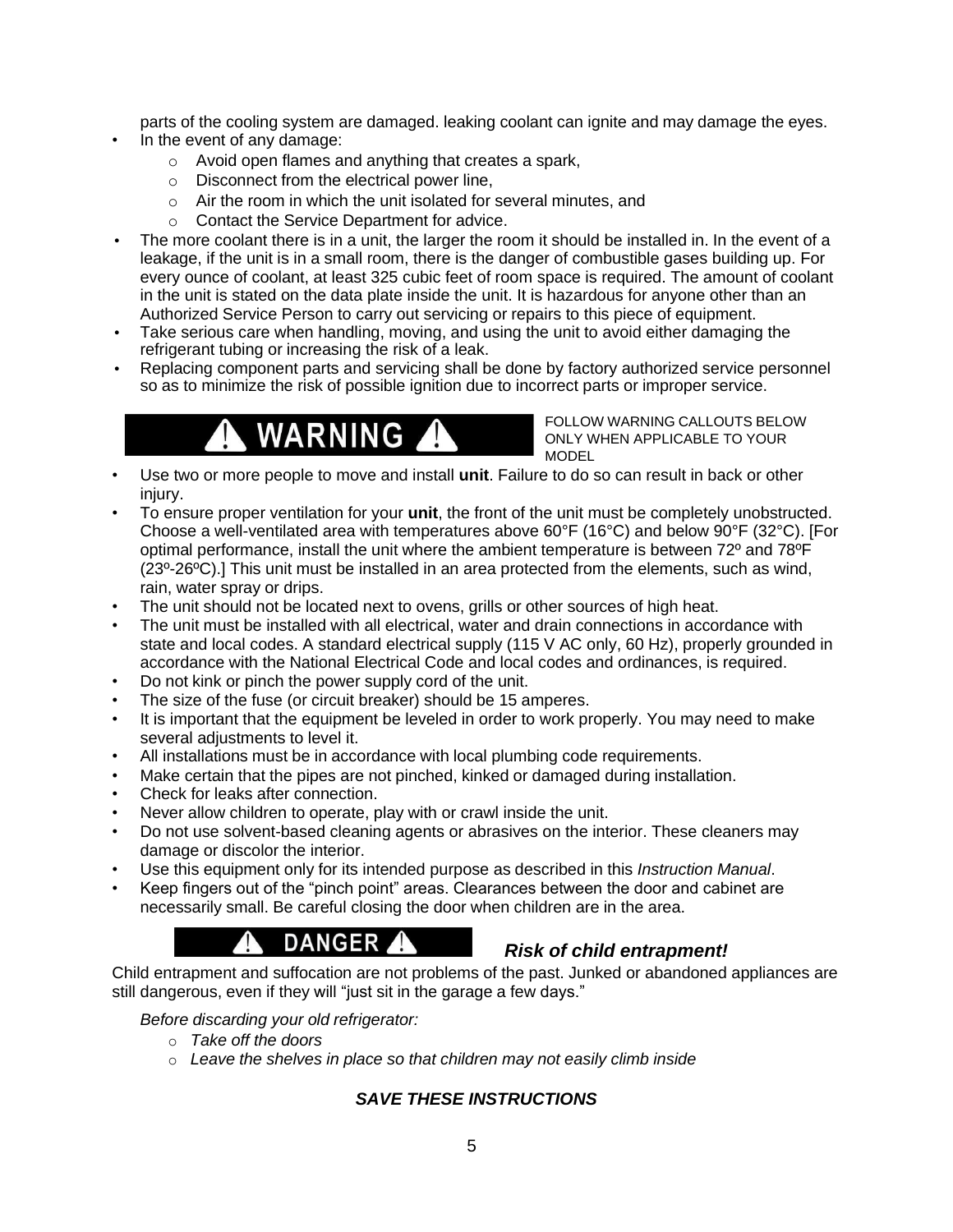parts of the cooling system are damaged. leaking coolant can ignite and may damage the eyes.

- In the event of any damage:
	- o Avoid open flames and anything that creates a spark,
	- o Disconnect from the electrical power line,
	- o Air the room in which the unit isolated for several minutes, and
	- o Contact the Service Department for advice.
- The more coolant there is in a unit, the larger the room it should be installed in. In the event of a leakage, if the unit is in a small room, there is the danger of combustible gases building up. For every ounce of coolant, at least 325 cubic feet of room space is required. The amount of coolant in the unit is stated on the data plate inside the unit. It is hazardous for anyone other than an Authorized Service Person to carry out servicing or repairs to this piece of equipment.
- Take serious care when handling, moving, and using the unit to avoid either damaging the refrigerant tubing or increasing the risk of a leak.
- Replacing component parts and servicing shall be done by factory authorized service personnel so as to minimize the risk of possible ignition due to incorrect parts or improper service.

# WARNING

FOLLOW WARNING CALLOUTS BELOW ONLY WHEN APPLICABLE TO YOUR MODEL

- Use two or more people to move and install **unit**. Failure to do so can result in back or other injury.
- To ensure proper ventilation for your **unit**, the front of the unit must be completely unobstructed. Choose a well-ventilated area with temperatures above 60°F (16°C) and below 90°F (32°C). [For optimal performance, install the unit where the ambient temperature is between 72º and 78ºF (23º-26ºC).] This unit must be installed in an area protected from the elements, such as wind, rain, water spray or drips.
- The unit should not be located next to ovens, grills or other sources of high heat.
- The unit must be installed with all electrical, water and drain connections in accordance with state and local codes. A standard electrical supply (115 V AC only, 60 Hz), properly grounded in accordance with the National Electrical Code and local codes and ordinances, is required.
- Do not kink or pinch the power supply cord of the unit.
- The size of the fuse (or circuit breaker) should be 15 amperes.
- It is important that the equipment be leveled in order to work properly. You may need to make several adjustments to level it.
- All installations must be in accordance with local plumbing code requirements.
- Make certain that the pipes are not pinched, kinked or damaged during installation.
- Check for leaks after connection.
- Never allow children to operate, play with or crawl inside the unit.
- Do not use solvent-based cleaning agents or abrasives on the interior. These cleaners may damage or discolor the interior.
- Use this equipment only for its intended purpose as described in this *Instruction Manual*.
- Keep fingers out of the "pinch point" areas. Clearances between the door and cabinet are necessarily small. Be careful closing the door when children are in the area.

### **DANGER**

#### *Risk of child entrapment!*

Child entrapment and suffocation are not problems of the past. Junked or abandoned appliances are still dangerous, even if they will "just sit in the garage a few days."

*Before discarding your old refrigerator:*

- o *Take off the doors*
- o *Leave the shelves in place so that children may not easily climb inside*

#### *SAVE THESE INSTRUCTIONS*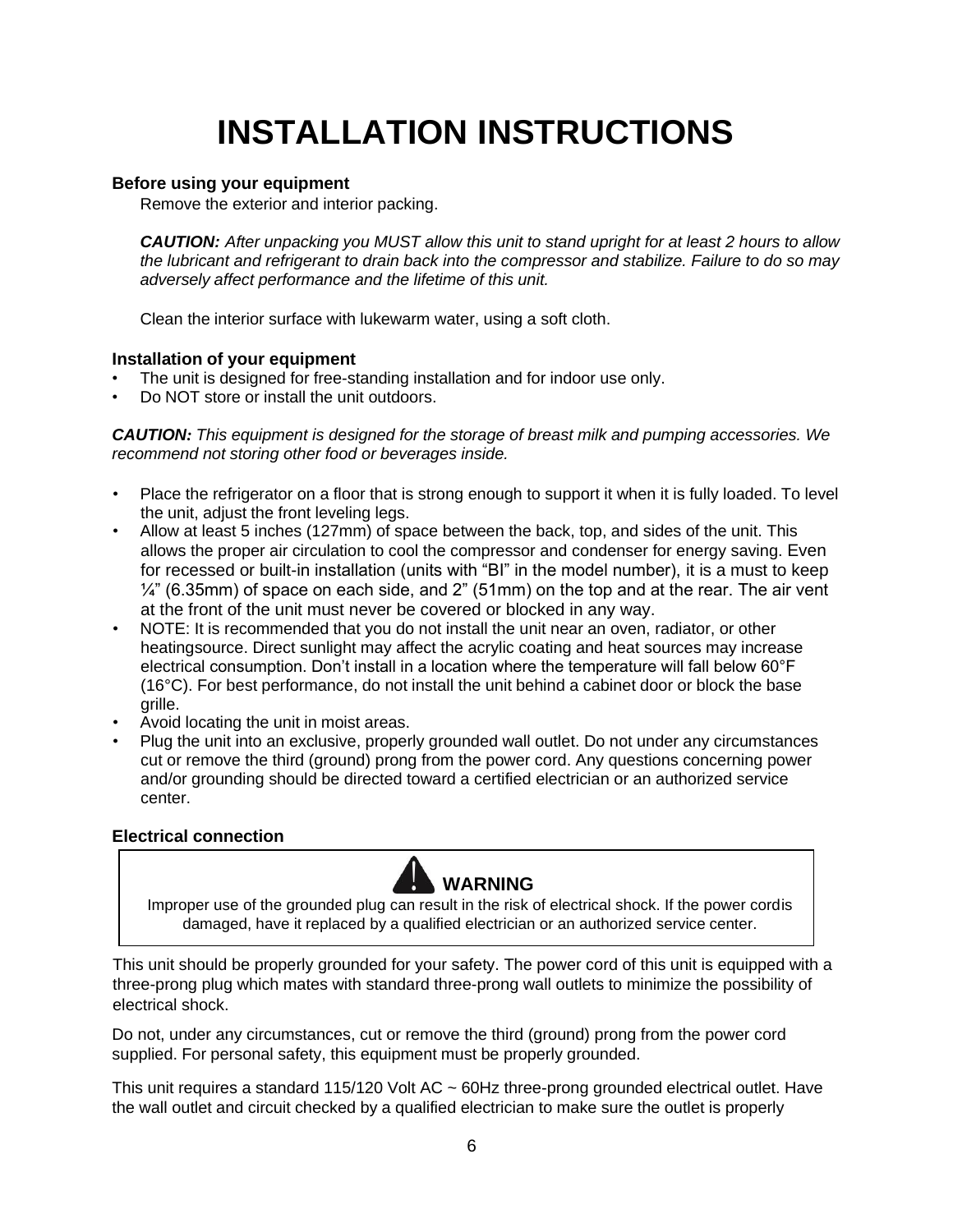# **INSTALLATION INSTRUCTIONS**

#### <span id="page-5-0"></span>**Before using your equipment**

Remove the exterior and interior packing.

*CAUTION: After unpacking you MUST allow this unit to stand upright for at least 2 hours to allow the lubricant and refrigerant to drain back into the compressor and stabilize. Failure to do so may adversely affect performance and the lifetime of this unit.*

Clean the interior surface with lukewarm water, using a soft cloth.

#### <span id="page-5-1"></span>**Installation of your equipment**

- The unit is designed for free-standing installation and for indoor use only.
- Do NOT store or install the unit outdoors.

*CAUTION: This equipment is designed for the storage of breast milk and pumping accessories. We recommend not storing other food or beverages inside.*

- Place the refrigerator on a floor that is strong enough to support it when it is fully loaded. To level the unit, adjust the front leveling legs.
- Allow at least 5 inches (127mm) of space between the back, top, and sides of the unit. This allows the proper air circulation to cool the compressor and condenser for energy saving. Even for recessed or built-in installation (units with "BI" in the model number), it is a must to keep  $\frac{1}{4}$ " (6.35mm) of space on each side, and 2" (51mm) on the top and at the rear. The air vent at the front of the unit must never be covered or blocked in any way.
- NOTE: It is recommended that you do not install the unit near an oven, radiator, or other heatingsource. Direct sunlight may affect the acrylic coating and heat sources may increase electrical consumption. Don't install in a location where the temperature will fall below 60°F (16°C). For best performance, do not install the unit behind a cabinet door or block the base grille.
- Avoid locating the unit in moist areas.
- Plug the unit into an exclusive, properly grounded wall outlet. Do not under any circumstances cut or remove the third (ground) prong from the power cord. Any questions concerning power and/or grounding should be directed toward a certified electrician or an authorized service center.

#### <span id="page-5-2"></span>**Electrical connection**



Improper use of the grounded plug can result in the risk of electrical shock. If the power cordis damaged, have it replaced by a qualified electrician or an authorized service center.

This unit should be properly grounded for your safety. The power cord of this unit is equipped with a three-prong plug which mates with standard three-prong wall outlets to minimize the possibility of electrical shock.

Do not, under any circumstances, cut or remove the third (ground) prong from the power cord supplied. For personal safety, this equipment must be properly grounded.

This unit requires a standard 115/120 Volt AC ~ 60Hz three-prong grounded electrical outlet. Have the wall outlet and circuit checked by a qualified electrician to make sure the outlet is properly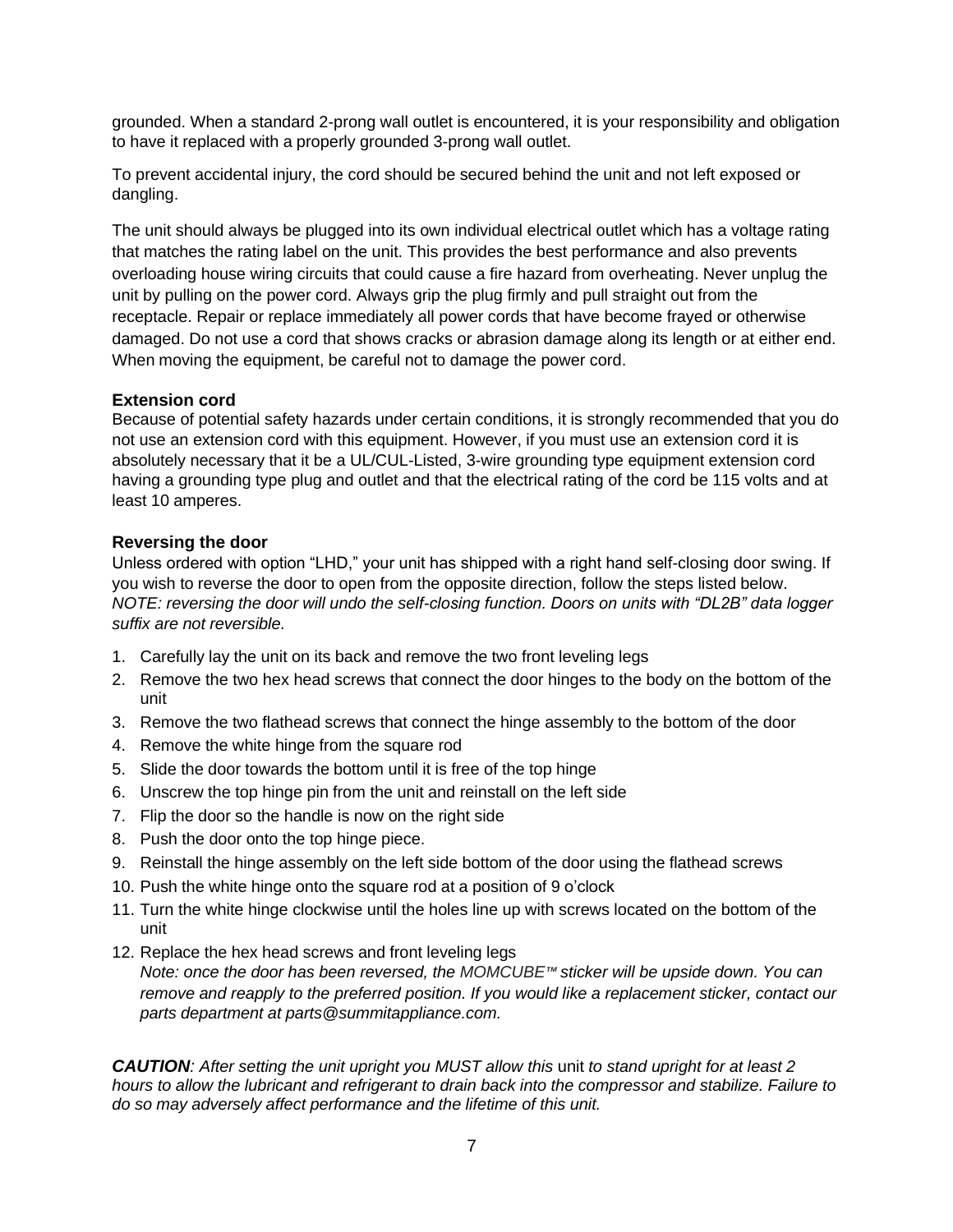grounded. When a standard 2-prong wall outlet is encountered, it is your responsibility and obligation to have it replaced with a properly grounded 3-prong wall outlet.

To prevent accidental injury, the cord should be secured behind the unit and not left exposed or dangling.

The unit should always be plugged into its own individual electrical outlet which has a voltage rating that matches the rating label on the unit. This provides the best performance and also prevents overloading house wiring circuits that could cause a fire hazard from overheating. Never unplug the unit by pulling on the power cord. Always grip the plug firmly and pull straight out from the receptacle. Repair or replace immediately all power cords that have become frayed or otherwise damaged. Do not use a cord that shows cracks or abrasion damage along its length or at either end. When moving the equipment, be careful not to damage the power cord.

#### <span id="page-6-0"></span>**Extension cord**

Because of potential safety hazards under certain conditions, it is strongly recommended that you do not use an extension cord with this equipment. However, if you must use an extension cord it is absolutely necessary that it be a UL/CUL-Listed, 3-wire grounding type equipment extension cord having a grounding type plug and outlet and that the electrical rating of the cord be 115 volts and at least 10 amperes.

#### <span id="page-6-1"></span>**Reversing the door**

Unless ordered with option "LHD," your unit has shipped with a right hand self-closing door swing. If you wish to reverse the door to open from the opposite direction, follow the steps listed below. *NOTE: reversing the door will undo the self-closing function. Doors on units with "DL2B" data logger suffix are not reversible.*

- 1. Carefully lay the unit on its back and remove the two front leveling legs
- 2. Remove the two hex head screws that connect the door hinges to the body on the bottom of the unit
- 3. Remove the two flathead screws that connect the hinge assembly to the bottom of the door
- 4. Remove the white hinge from the square rod
- 5. Slide the door towards the bottom until it is free of the top hinge
- 6. Unscrew the top hinge pin from the unit and reinstall on the left side
- 7. Flip the door so the handle is now on the right side
- 8. Push the door onto the top hinge piece.
- 9. Reinstall the hinge assembly on the left side bottom of the door using the flathead screws
- 10. Push the white hinge onto the square rod at a position of 9 o'clock
- 11. Turn the white hinge clockwise until the holes line up with screws located on the bottom of the unit
- 12. Replace the hex head screws and front leveling legs *Note: once the door has been reversed, the MOMCUBE™ sticker will be upside down. You can remove and reapply to the preferred position. If you would like a replacement sticker, contact our parts department at [parts@summitappliance.com.](mailto:parts@summitappliance.com)*

*CAUTION: After setting the unit upright you MUST allow this* unit *to stand upright for at least 2 hours to allow the lubricant and refrigerant to drain back into the compressor and stabilize. Failure to do so may adversely affect performance and the lifetime of this unit.*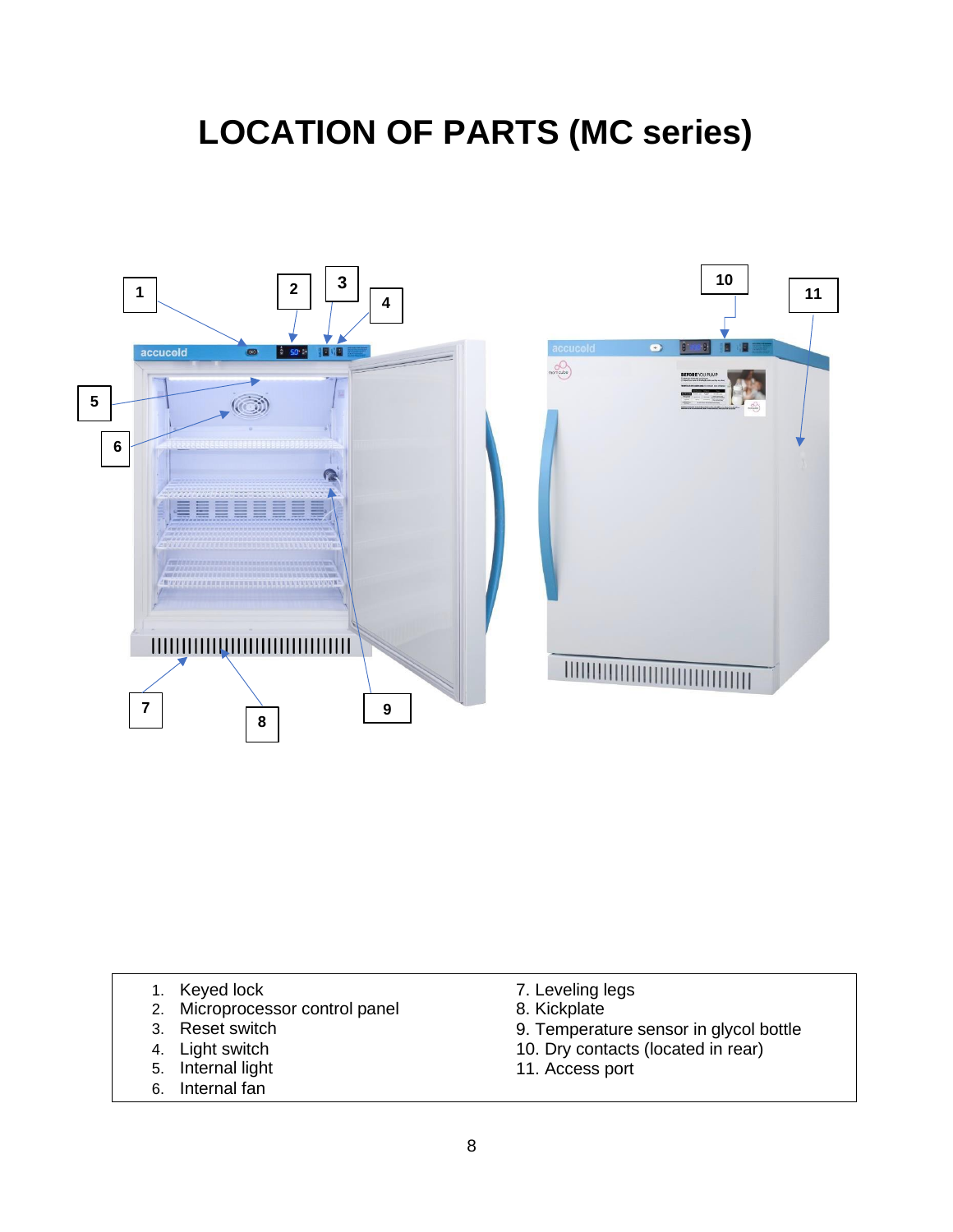### <span id="page-7-0"></span>**LOCATION OF PARTS (MC series)**



- 1. Keyed lock
- 2. Microprocessor control panel
- 3. Reset switch
- 4. Light switch
- 5. Internal light
- 6. Internal fan
- 7. Leveling legs
- 8. Kickplate
- 9. Temperature sensor in glycol bottle
- 10. Dry contacts (located in rear)
- 11. Access port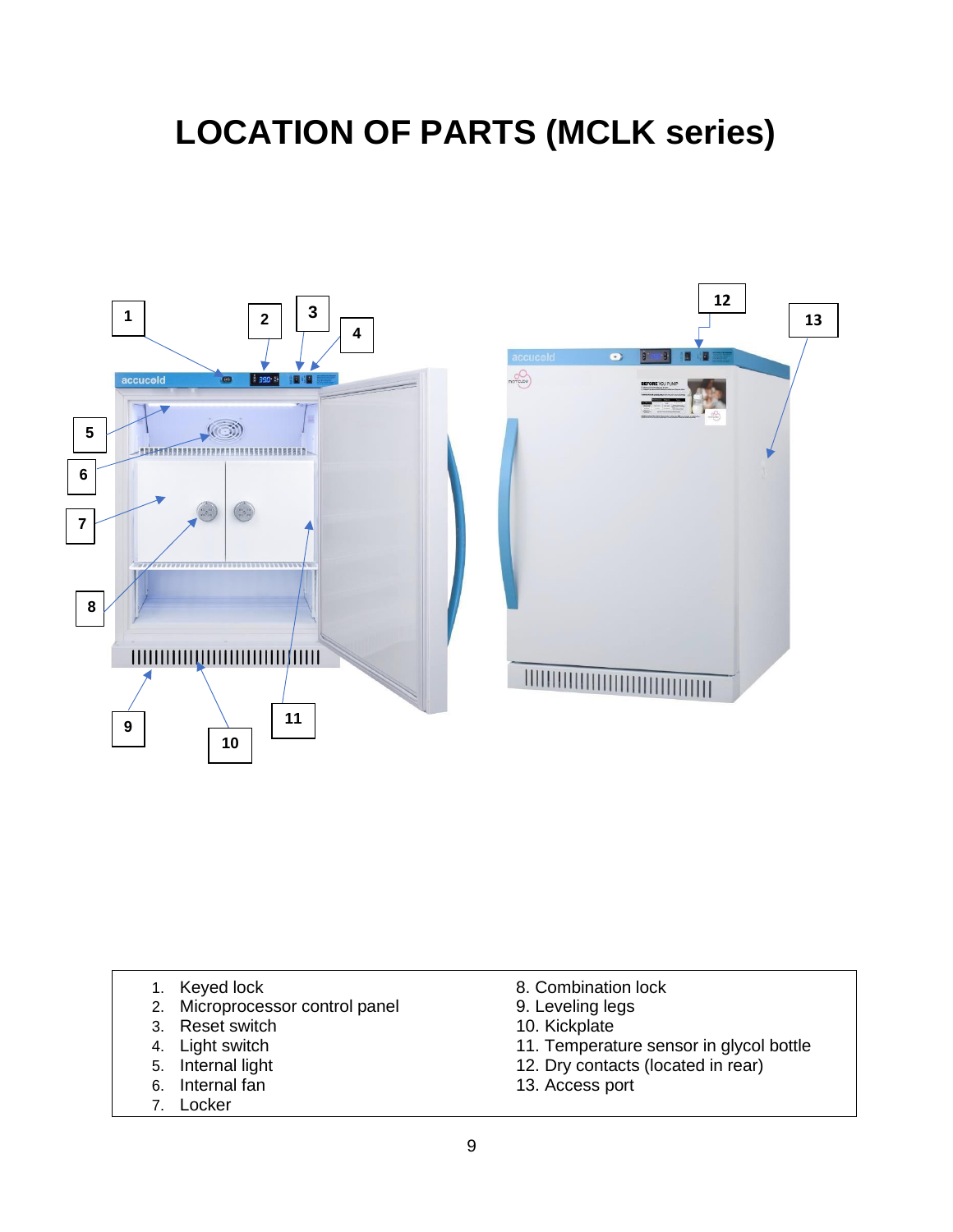### **LOCATION OF PARTS (MCLK series)**



- 1. Keyed lock
- 2. Microprocessor control panel
- 3. Reset switch
- 4. Light switch
- 5. Internal light
- 6. Internal fan
- 7. Locker
- 8. Combination lock
- 9. Leveling legs
- 10. Kickplate
- 11. Temperature sensor in glycol bottle
- 12. Dry contacts (located in rear)
- 13. Access port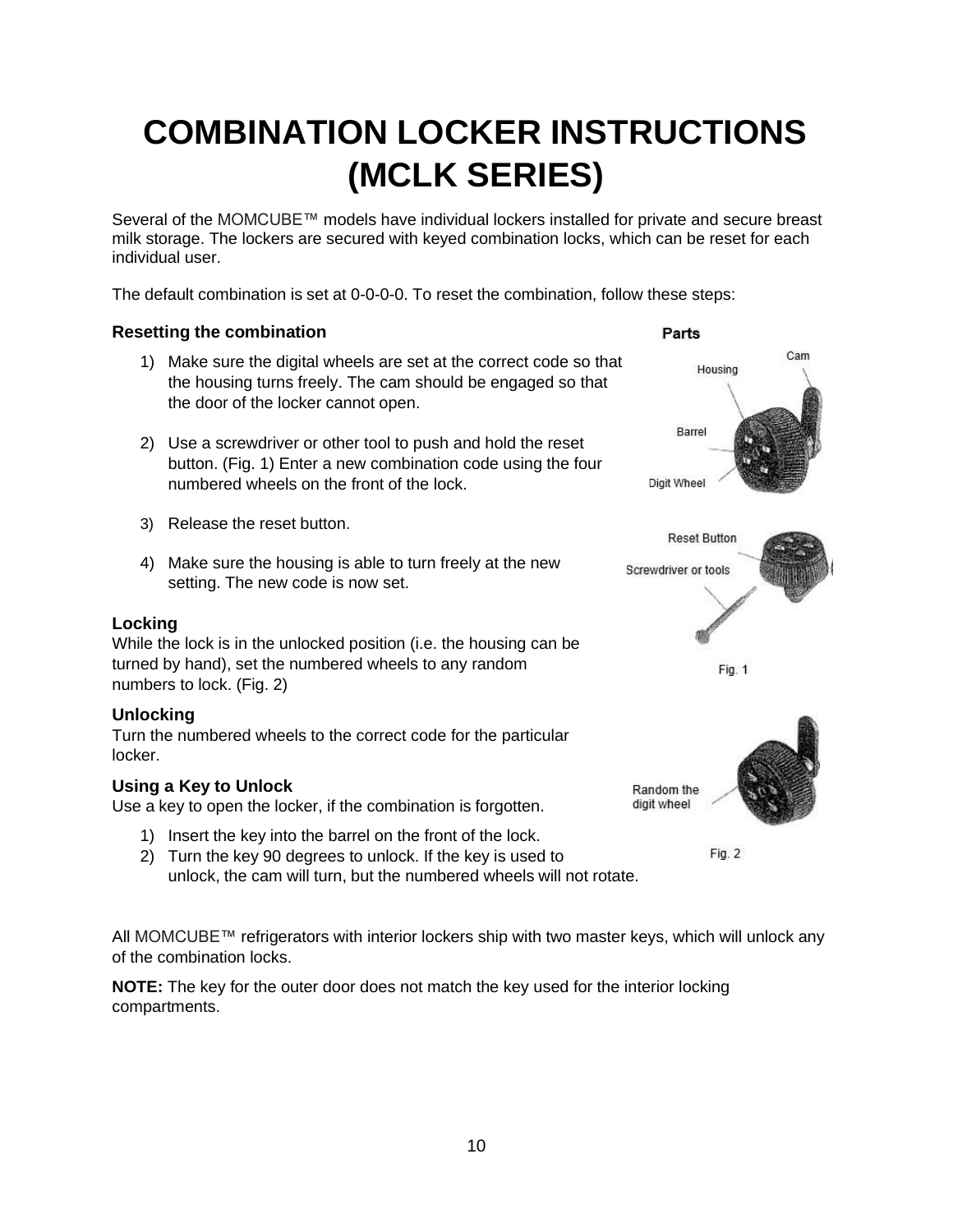# **COMBINATION LOCKER INSTRUCTIONS (MCLK SERIES)**

Several of the MOMCUBE™ models have individual lockers installed for private and secure breast milk storage. The lockers are secured with keyed combination locks, which can be reset for each individual user.

The default combination is set at 0-0-0-0. To reset the combination, follow these steps:

#### **Resetting the combination**

- 1) Make sure the digital wheels are set at the correct code so that the housing turns freely. The cam should be engaged so that the door of the locker cannot open.
- 2) Use a screwdriver or other tool to push and hold the reset button. (Fig. 1) Enter a new combination code using the four numbered wheels on the front of the lock.
- 3) Release the reset button.
- 4) Make sure the housing is able to turn freely at the new setting. The new code is now set.

#### **Locking**

While the lock is in the unlocked position (i.e. the housing can be turned by hand), set the numbered wheels to any random numbers to lock. (Fig. 2)

#### **Unlocking**

Turn the numbered wheels to the correct code for the particular locker.

#### **Using a Key to Unlock**

Use a key to open the locker, if the combination is forgotten.

- 1) Insert the key into the barrel on the front of the lock.
- 2) Turn the key 90 degrees to unlock. If the key is used to unlock, the cam will turn, but the numbered wheels will not rotate.

All MOMCUBE™ refrigerators with interior lockers ship with two master keys, which will unlock any of the combination locks.

**NOTE:** The key for the outer door does not match the key used for the interior locking compartments.

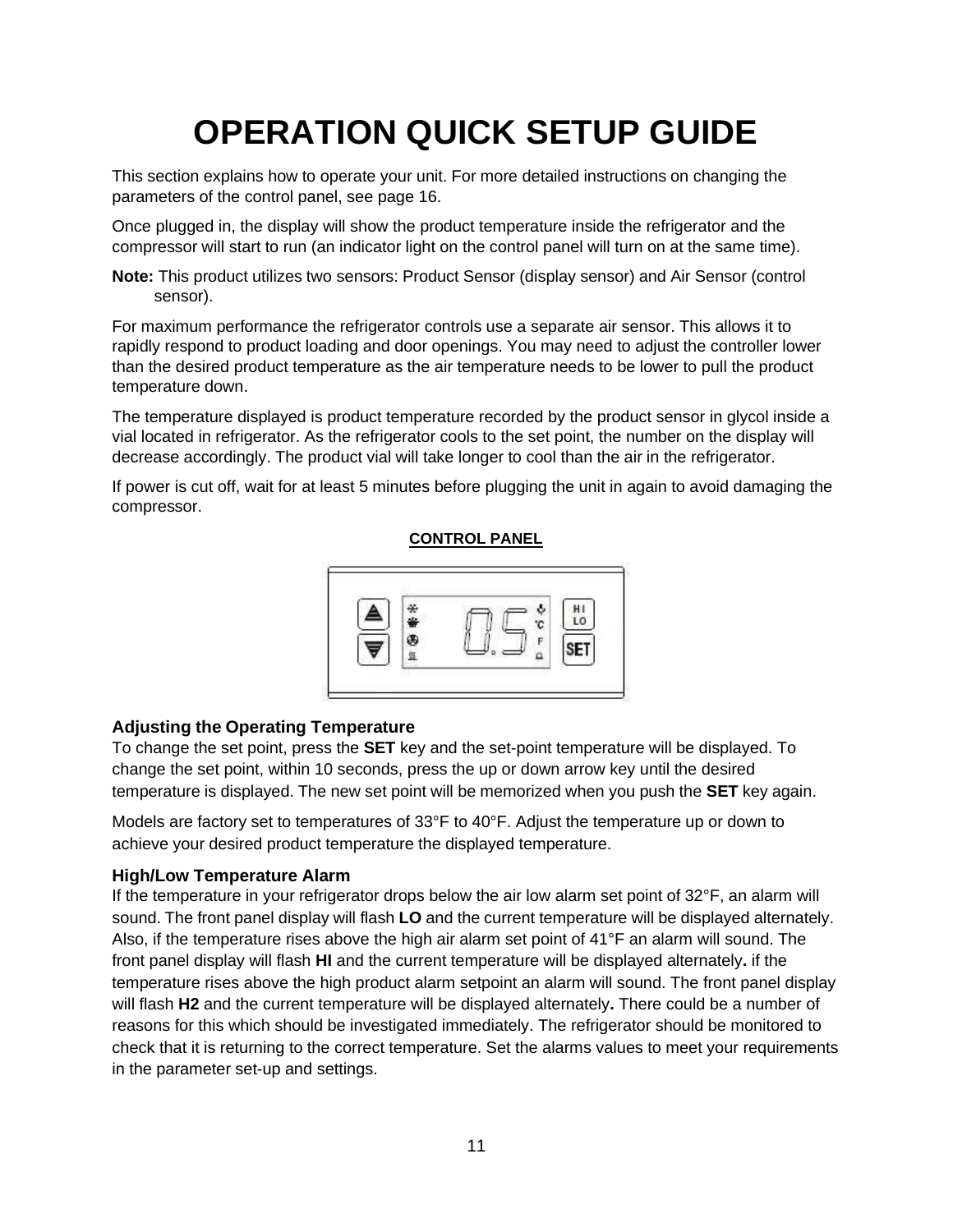# **OPERATION QUICK SETUP GUIDE**

<span id="page-10-0"></span>This section explains how to operate your unit. For more detailed instructions on changing the parameters of the control panel, see page 16.

Once plugged in, the display will show the product temperature inside the refrigerator and the compressor will start to run (an indicator light on the control panel will turn on at the same time).

**Note:** This product utilizes two sensors: Product Sensor (display sensor) and Air Sensor (control sensor).

For maximum performance the refrigerator controls use a separate air sensor. This allows it to rapidly respond to product loading and door openings. You may need to adjust the controller lower than the desired product temperature as the air temperature needs to be lower to pull the product temperature down.

The temperature displayed is product temperature recorded by the product sensor in glycol inside a vial located in refrigerator. As the refrigerator cools to the set point, the number on the display will decrease accordingly. The product vial will take longer to cool than the air in the refrigerator.

If power is cut off, wait for at least 5 minutes before plugging the unit in again to avoid damaging the compressor.

#### **CONTROL PANEL**



#### **Adjusting the Operating Temperature**

To change the set point, press the **SET** key and the set-point temperature will be displayed. To change the set point, within 10 seconds, press the up or down arrow key until the desired temperature is displayed. The new set point will be memorized when you push the **SET** key again.

Models are factory set to temperatures of 33°F to 40°F. Adjust the temperature up or down to achieve your desired product temperature the displayed temperature.

#### <span id="page-10-1"></span>**High/Low Temperature Alarm**

If the temperature in your refrigerator drops below the air low alarm set point of 32°F, an alarm will sound. The front panel display will flash **LO** and the current temperature will be displayed alternately. Also, if the temperature rises above the high air alarm set point of 41°F an alarm will sound. The front panel display will flash **HI** and the current temperature will be displayed alternately**.** if the temperature rises above the high product alarm setpoint an alarm will sound. The front panel display will flash **H2** and the current temperature will be displayed alternately**.** There could be a number of reasons for this which should be investigated immediately. The refrigerator should be monitored to check that it is returning to the correct temperature. Set the alarms values to meet your requirements in the parameter set-up and settings.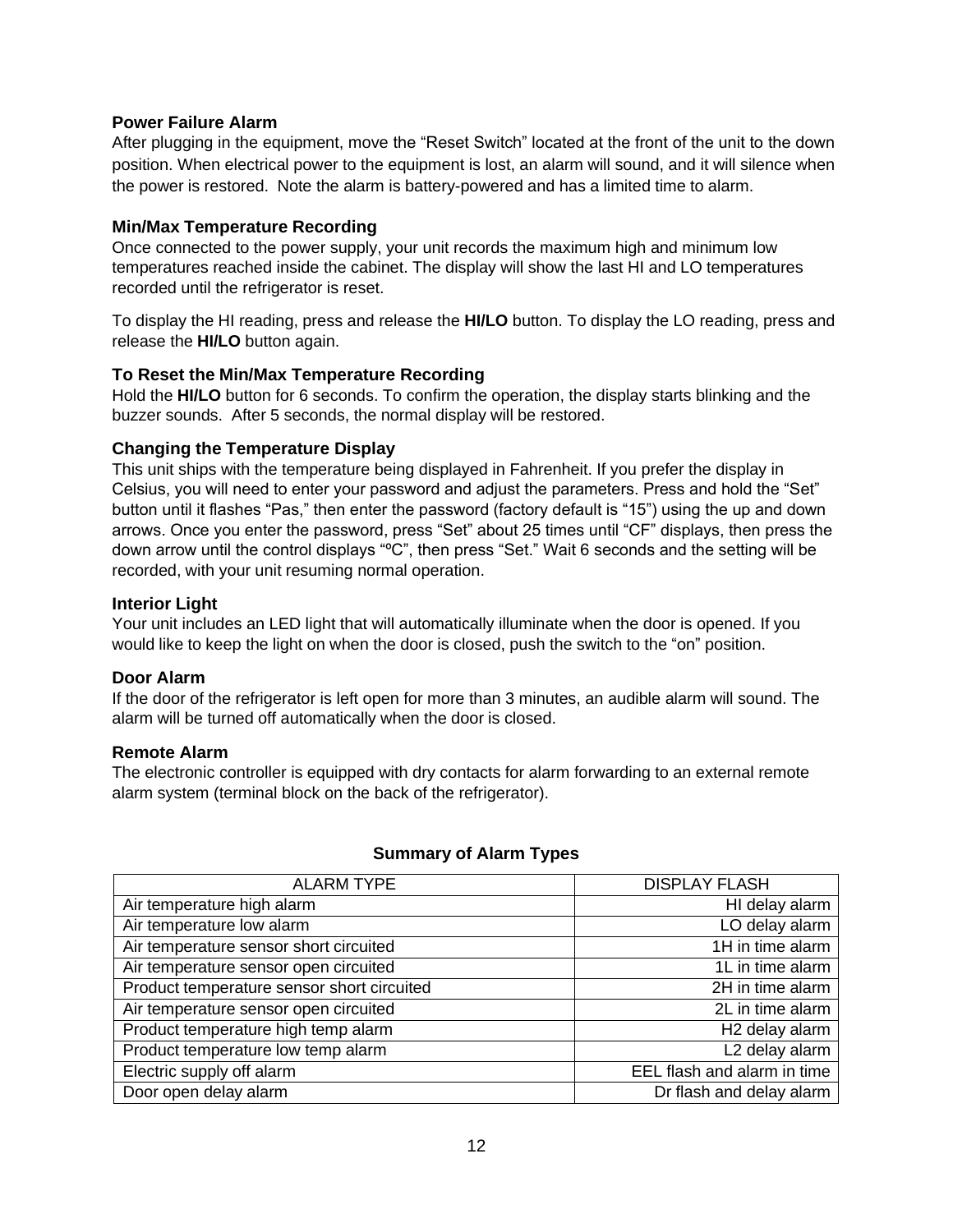#### <span id="page-11-0"></span>**Power Failure Alarm**

After plugging in the equipment, move the "Reset Switch" located at the front of the unit to the down position. When electrical power to the equipment is lost, an alarm will sound, and it will silence when the power is restored. Note the alarm is battery-powered and has a limited time to alarm.

#### **Min/Max Temperature Recording**

Once connected to the power supply, your unit records the maximum high and minimum low temperatures reached inside the cabinet. The display will show the last HI and LO temperatures recorded until the refrigerator is reset.

To display the HI reading, press and release the **HI/LO** button. To display the LO reading, press and release the **HI/LO** button again.

#### **To Reset the Min/Max Temperature Recording**

Hold the **HI/LO** button for 6 seconds. To confirm the operation, the display starts blinking and the buzzer sounds. After 5 seconds, the normal display will be restored.

#### <span id="page-11-1"></span>**Changing the Temperature Display**

This unit ships with the temperature being displayed in Fahrenheit. If you prefer the display in Celsius, you will need to enter your password and adjust the parameters. Press and hold the "Set" button until it flashes "Pas," then enter the password (factory default is "15") using the up and down arrows. Once you enter the password, press "Set" about 25 times until "CF" displays, then press the down arrow until the control displays "ºC", then press "Set." Wait 6 seconds and the setting will be recorded, with your unit resuming normal operation.

#### <span id="page-11-2"></span>**Interior Light**

Your unit includes an LED light that will automatically illuminate when the door is opened. If you would like to keep the light on when the door is closed, push the switch to the "on" position.

#### <span id="page-11-3"></span>**Door Alarm**

If the door of the refrigerator is left open for more than 3 minutes, an audible alarm will sound. The alarm will be turned off automatically when the door is closed.

#### <span id="page-11-4"></span>**Remote Alarm**

The electronic controller is equipped with dry contacts for alarm forwarding to an external remote alarm system (terminal block on the back of the refrigerator).

<span id="page-11-5"></span>

| <b>ALARM TYPE</b>                          | <b>DISPLAY FLASH</b>        |
|--------------------------------------------|-----------------------------|
| Air temperature high alarm                 | HI delay alarm              |
| Air temperature low alarm                  | LO delay alarm              |
| Air temperature sensor short circuited     | 1H in time alarm            |
| Air temperature sensor open circuited      | 1L in time alarm            |
| Product temperature sensor short circuited | 2H in time alarm            |
| Air temperature sensor open circuited      | 2L in time alarm            |
| Product temperature high temp alarm        | H <sub>2</sub> delay alarm  |
| Product temperature low temp alarm         | L2 delay alarm              |
| Electric supply off alarm                  | EEL flash and alarm in time |
| Door open delay alarm                      | Dr flash and delay alarm    |

#### **Summary of Alarm Types**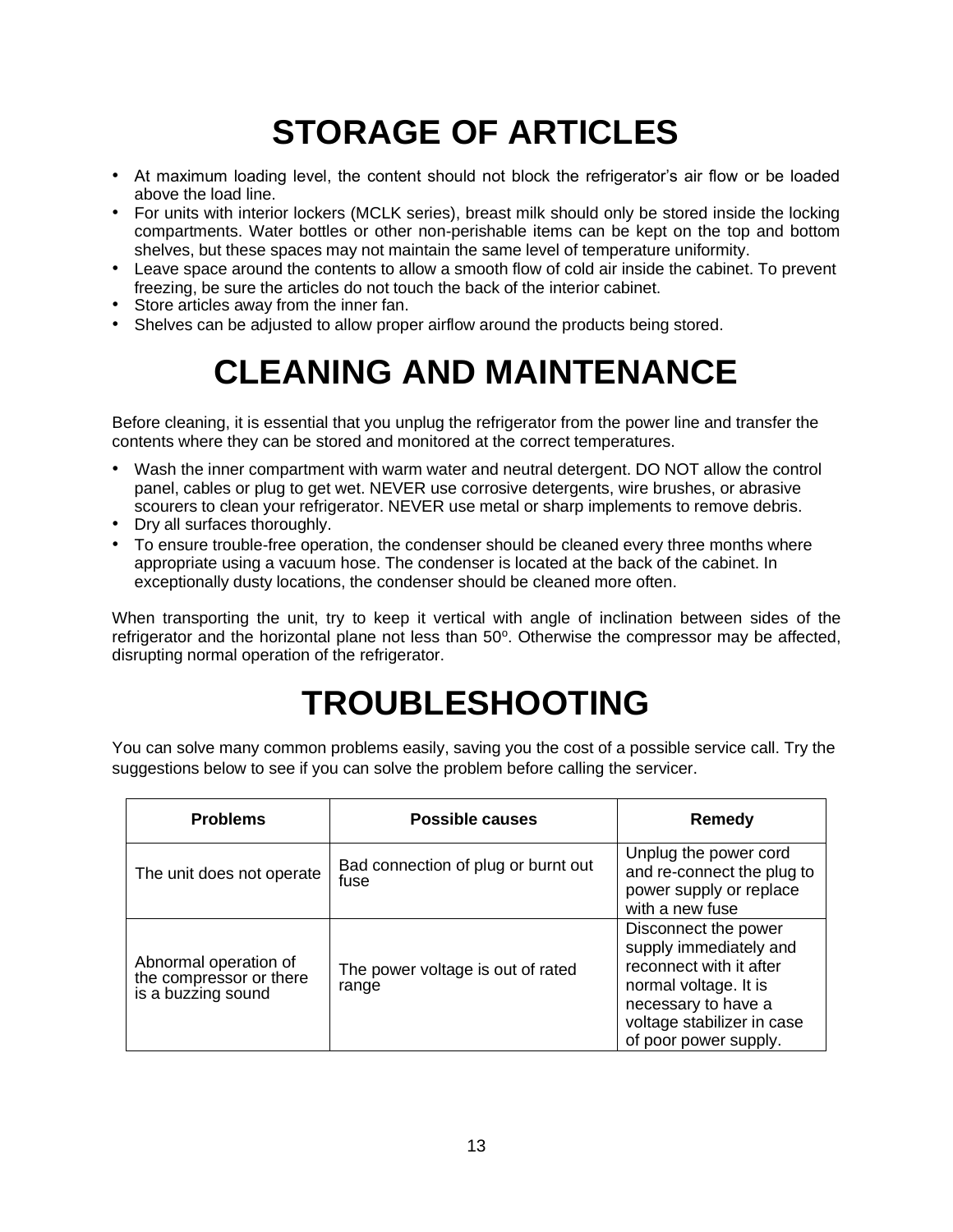# **STORAGE OF ARTICLES**

- <span id="page-12-0"></span>• At maximum loading level, the content should not block the refrigerator's air flow or be loaded above the load line.
- For units with interior lockers (MCLK series), breast milk should only be stored inside the locking compartments. Water bottles or other non-perishable items can be kept on the top and bottom shelves, but these spaces may not maintain the same level of temperature uniformity.
- Leave space around the contents to allow a smooth flow of cold air inside the cabinet. To prevent freezing, be sure the articles do not touch the back of the interior cabinet.
- Store articles away from the inner fan.
- <span id="page-12-1"></span>• Shelves can be adjusted to allow proper airflow around the products being stored.

# **CLEANING AND MAINTENANCE**

Before cleaning, it is essential that you unplug the refrigerator from the power line and transfer the contents where they can be stored and monitored at the correct temperatures.

- Wash the inner compartment with warm water and neutral detergent. DO NOT allow the control panel, cables or plug to get wet. NEVER use corrosive detergents, wire brushes, or abrasive scourers to clean your refrigerator. NEVER use metal or sharp implements to remove debris.
- Dry all surfaces thoroughly.
- To ensure trouble-free operation, the condenser should be cleaned every three months where appropriate using a vacuum hose. The condenser is located at the back of the cabinet. In exceptionally dusty locations, the condenser should be cleaned more often.

When transporting the unit, try to keep it vertical with angle of inclination between sides of the refrigerator and the horizontal plane not less than 50°. Otherwise the compressor may be affected, disrupting normal operation of the refrigerator.

# **TROUBLESHOOTING**

<span id="page-12-2"></span>You can solve many common problems easily, saving you the cost of a possible service call. Try the suggestions below to see if you can solve the problem before calling the servicer.

| <b>Problems</b>                                                        | Possible causes                             | <b>Remedy</b>                                                                                                                                                                    |
|------------------------------------------------------------------------|---------------------------------------------|----------------------------------------------------------------------------------------------------------------------------------------------------------------------------------|
| The unit does not operate                                              | Bad connection of plug or burnt out<br>fuse | Unplug the power cord<br>and re-connect the plug to<br>power supply or replace<br>with a new fuse                                                                                |
| Abnormal operation of<br>the compressor or there<br>is a buzzing sound | The power voltage is out of rated<br>range  | Disconnect the power<br>supply immediately and<br>reconnect with it after<br>normal voltage. It is<br>necessary to have a<br>voltage stabilizer in case<br>of poor power supply. |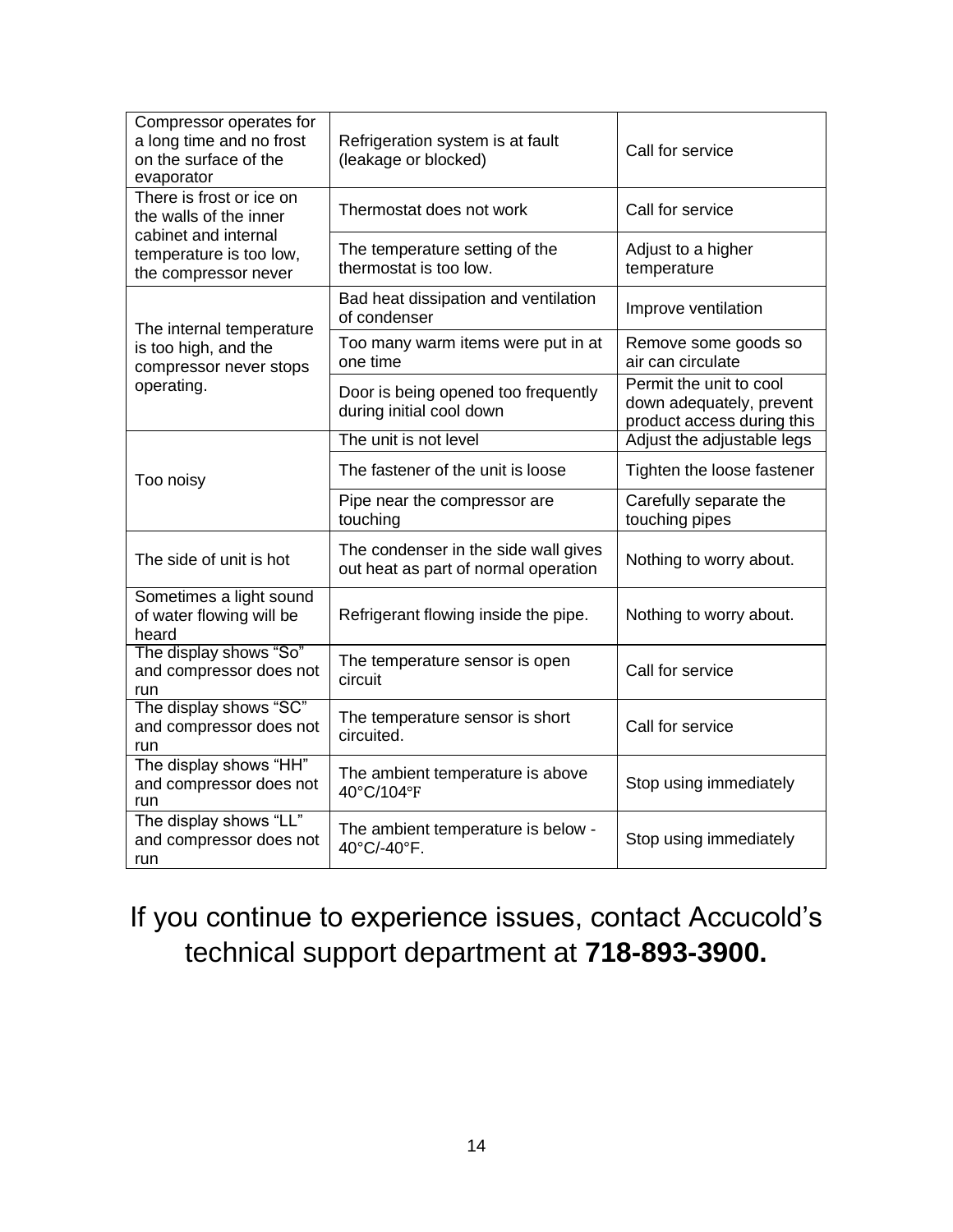| Compressor operates for<br>a long time and no frost<br>on the surface of the<br>evaporator                    | Refrigeration system is at fault<br>(leakage or blocked)                     | Call for service                                                                  |  |
|---------------------------------------------------------------------------------------------------------------|------------------------------------------------------------------------------|-----------------------------------------------------------------------------------|--|
| There is frost or ice on<br>the walls of the inner                                                            | Thermostat does not work                                                     | Call for service                                                                  |  |
| cabinet and internal<br>temperature is too low,<br>the compressor never                                       | The temperature setting of the<br>thermostat is too low.                     | Adjust to a higher<br>temperature                                                 |  |
| The internal temperature<br>is too high, and the<br>compressor never stops<br>operating.                      | Bad heat dissipation and ventilation<br>of condenser                         | Improve ventilation                                                               |  |
|                                                                                                               | Too many warm items were put in at<br>one time                               | Remove some goods so<br>air can circulate                                         |  |
|                                                                                                               | Door is being opened too frequently<br>during initial cool down              | Permit the unit to cool<br>down adequately, prevent<br>product access during this |  |
|                                                                                                               | The unit is not level                                                        | Adjust the adjustable legs                                                        |  |
| Too noisy                                                                                                     | The fastener of the unit is loose                                            | Tighten the loose fastener                                                        |  |
|                                                                                                               | Pipe near the compressor are<br>touching                                     | Carefully separate the<br>touching pipes                                          |  |
| The side of unit is hot                                                                                       | The condenser in the side wall gives<br>out heat as part of normal operation | Nothing to worry about.                                                           |  |
| Sometimes a light sound<br>of water flowing will be<br>heard                                                  | Refrigerant flowing inside the pipe.                                         | Nothing to worry about.                                                           |  |
| The display shows "So"<br>and compressor does not<br>run                                                      | The temperature sensor is open<br>circuit                                    | Call for service                                                                  |  |
| The display shows "SC"<br>and compressor does not<br>run                                                      | The temperature sensor is short<br>circuited.                                | Call for service                                                                  |  |
| The display shows "HH"<br>and compressor does not<br>run                                                      | The ambient temperature is above<br>40°C/104°F                               | Stop using immediately                                                            |  |
| The display shows "LL"<br>The ambient temperature is below -<br>and compressor does not<br>40°C/-40°F.<br>run |                                                                              | Stop using immediately                                                            |  |

### If you continue to experience issues, contact Accucold's technical support department at **718-893-3900.**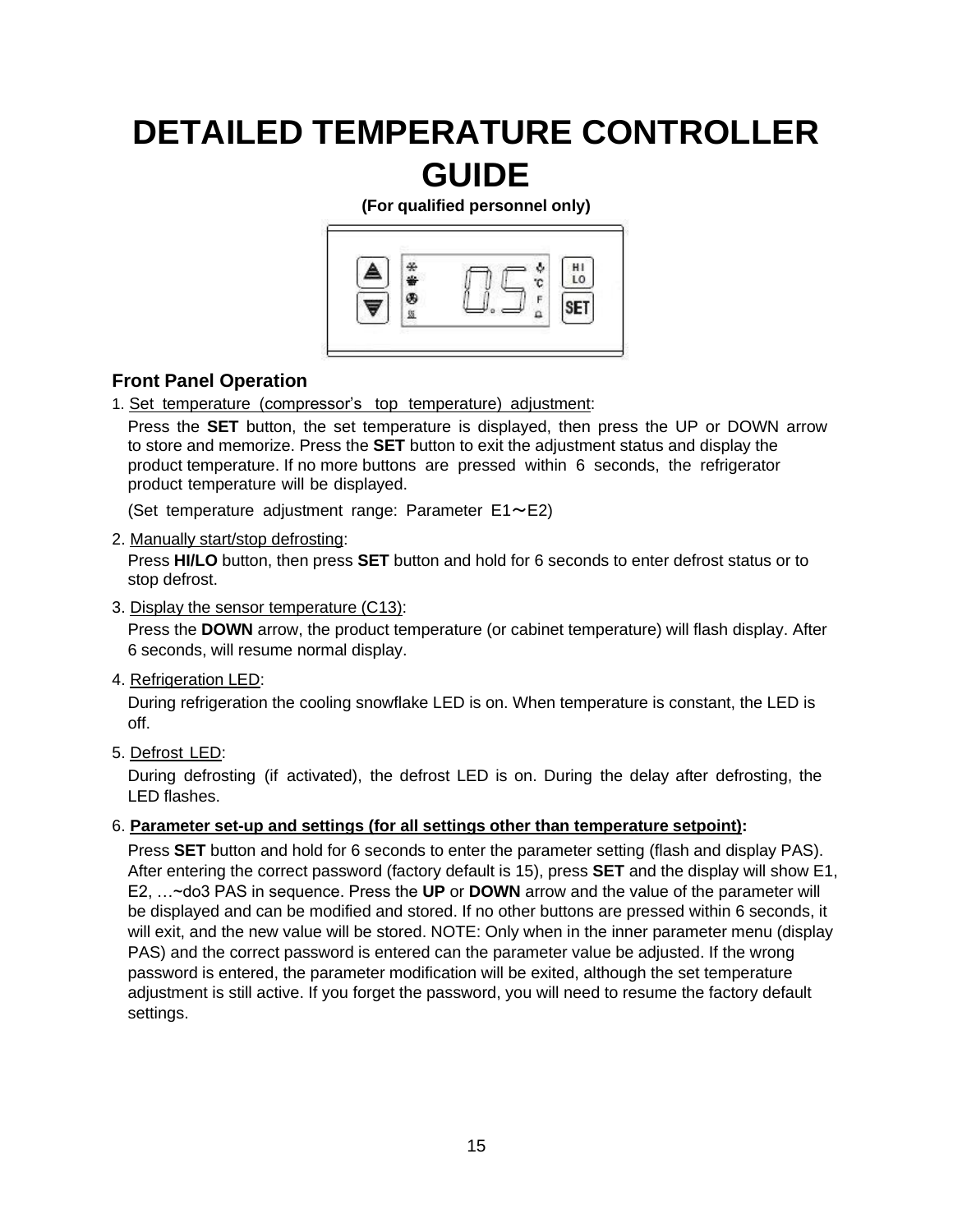### <span id="page-14-0"></span>**DETAILED TEMPERATURE CONTROLLER GUIDE**

**(For qualified personnel only)**



#### **Front Panel Operation**

1. Set temperature (compressor's top temperature) adjustment:

Press the **SET** button, the set temperature is displayed, then press the UP or DOWN arrow to store and memorize. Press the **SET** button to exit the adjustment status and display the product temperature. If no more buttons are pressed within 6 seconds, the refrigerator product temperature will be displayed.

(Set temperature adjustment range: Parameter  $E1 \sim E2$ )

#### 2. Manually start/stop defrosting:

Press **HI/LO** button, then press **SET** button and hold for 6 seconds to enter defrost status or to stop defrost.

3. Display the sensor temperature (C13):

Press the **DOWN** arrow, the product temperature (or cabinet temperature) will flash display. After 6 seconds, will resume normal display.

4. Refrigeration LED:

During refrigeration the cooling snowflake LED is on. When temperature is constant, the LED is off.

5. Defrost LED:

During defrosting (if activated), the defrost LED is on. During the delay after defrosting, the LED flashes.

#### 6. **Parameter set-up and settings (for all settings other than temperature setpoint):**

Press **SET** button and hold for 6 seconds to enter the parameter setting (flash and display PAS). After entering the correct password (factory default is 15), press **SET** and the display will show E1, E2, …~do3 PAS in sequence. Press the **UP** or **DOWN** arrow and the value of the parameter will be displayed and can be modified and stored. If no other buttons are pressed within 6 seconds, it will exit, and the new value will be stored. NOTE: Only when in the inner parameter menu (display PAS) and the correct password is entered can the parameter value be adjusted. If the wrong password is entered, the parameter modification will be exited, although the set temperature adjustment is still active. If you forget the password, you will need to resume the factory default settings.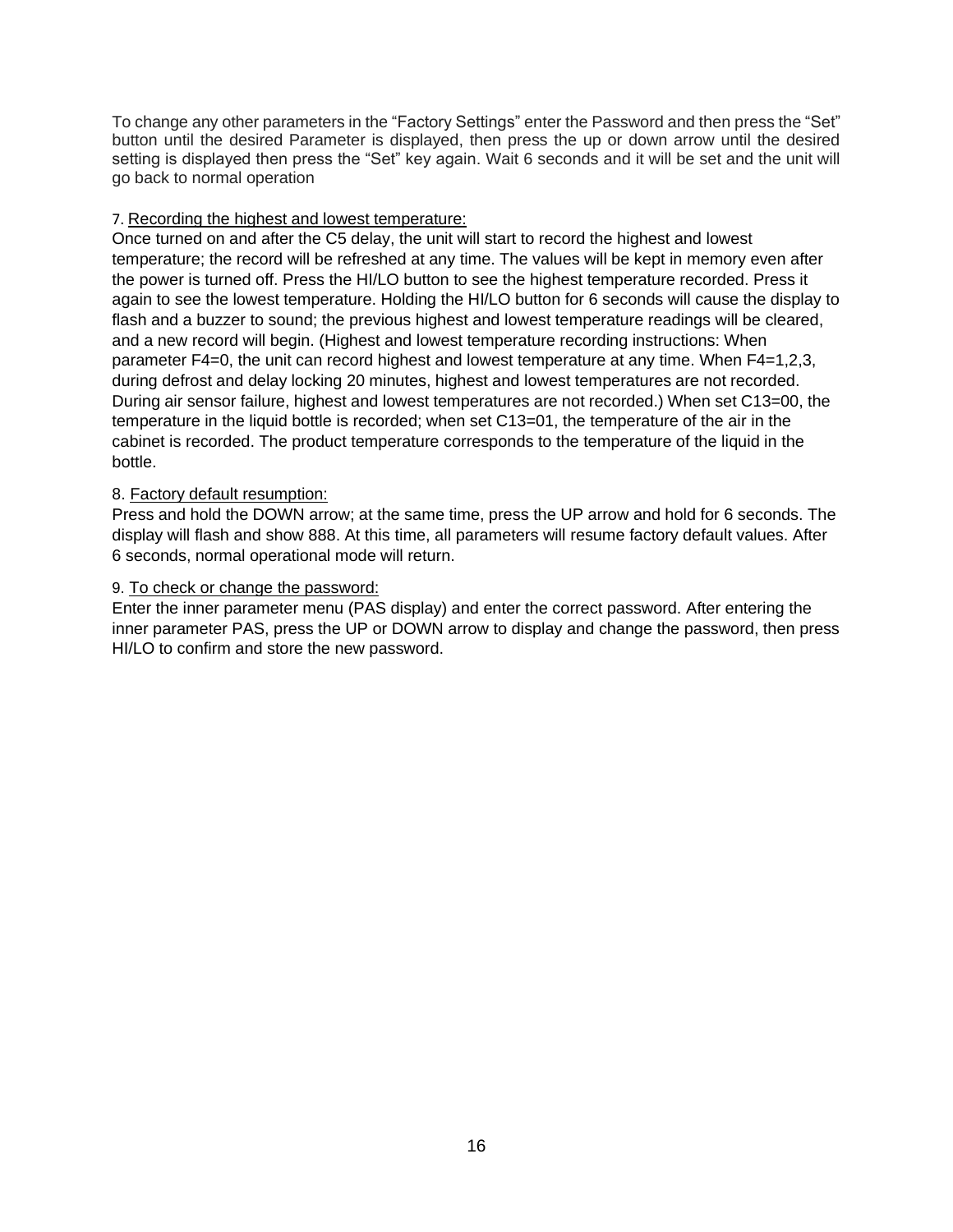To change any other parameters in the "Factory Settings" enter the Password and then press the "Set" button until the desired Parameter is displayed, then press the up or down arrow until the desired setting is displayed then press the "Set" key again. Wait 6 seconds and it will be set and the unit will go back to normal operation

#### 7. Recording the highest and lowest temperature:

Once turned on and after the C5 delay, the unit will start to record the highest and lowest temperature; the record will be refreshed at any time. The values will be kept in memory even after the power is turned off. Press the HI/LO button to see the highest temperature recorded. Press it again to see the lowest temperature. Holding the HI/LO button for 6 seconds will cause the display to flash and a buzzer to sound; the previous highest and lowest temperature readings will be cleared, and a new record will begin. (Highest and lowest temperature recording instructions: When parameter F4=0, the unit can record highest and lowest temperature at any time. When F4=1,2,3, during defrost and delay locking 20 minutes, highest and lowest temperatures are not recorded. During air sensor failure, highest and lowest temperatures are not recorded.) When set C13=00, the temperature in the liquid bottle is recorded; when set C13=01, the temperature of the air in the cabinet is recorded. The product temperature corresponds to the temperature of the liquid in the bottle.

#### 8. Factory default resumption:

Press and hold the DOWN arrow; at the same time, press the UP arrow and hold for 6 seconds. The display will flash and show 888. At this time, all parameters will resume factory default values. After 6 seconds, normal operational mode will return.

#### 9. To check or change the password:

Enter the inner parameter menu (PAS display) and enter the correct password. After entering the inner parameter PAS, press the UP or DOWN arrow to display and change the password, then press HI/LO to confirm and store the new password.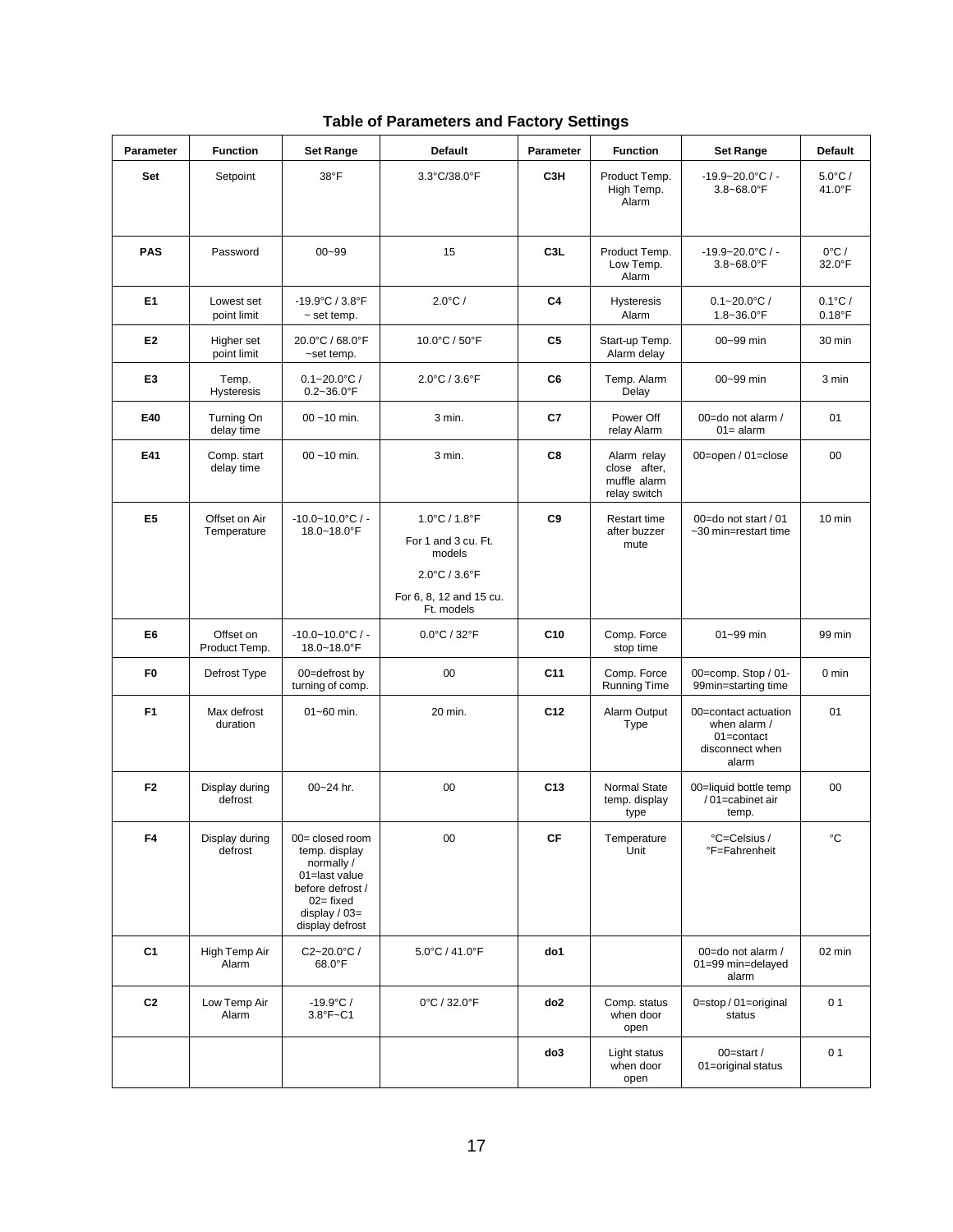| <b>Parameter</b> | <b>Function</b>              | <b>Set Range</b>                                                                                                                        | <b>Default</b>                                                                                                                                   | <b>Parameter</b>       | <b>Function</b>                                             | <b>Set Range</b>                                                               | <b>Default</b>                |
|------------------|------------------------------|-----------------------------------------------------------------------------------------------------------------------------------------|--------------------------------------------------------------------------------------------------------------------------------------------------|------------------------|-------------------------------------------------------------|--------------------------------------------------------------------------------|-------------------------------|
| Set              | Setpoint                     | 38°F                                                                                                                                    | 3.3°C/38.0°F                                                                                                                                     | C <sub>3H</sub>        | Product Temp.<br>High Temp.<br>Alarm                        | $-19.9 - 20.0$ °C / -<br>$3.8 - 68.0$ °F                                       | $5.0^{\circ}$ C /<br>41.0°F   |
| <b>PAS</b>       | Password                     | $00 - 99$                                                                                                                               | 15                                                                                                                                               | C <sub>3</sub> L       | Product Temp.<br>Low Temp.<br>Alarm                         | $-19.9 - 20.0$ °C / -<br>$3.8 - 68.0$ °F                                       | $0^{\circ}$ C /<br>32.0°F     |
| E <sub>1</sub>   | Lowest set<br>point limit    | $-19.9^{\circ}$ C / $3.8^{\circ}$ F<br>$\sim$ set temp.                                                                                 | $2.0^{\circ}$ C /                                                                                                                                | C4                     | <b>Hysteresis</b><br>Alarm                                  | $0.1 - 20.0$ °C/<br>$1.8 - 36.0$ °F                                            | $0.1^{\circ}$ C/<br>$0.18$ °F |
| E <sub>2</sub>   | Higher set<br>point limit    | 20.0°C / 68.0°F<br>~set temp.                                                                                                           | 10.0°C / 50°F                                                                                                                                    | C5                     | Start-up Temp.<br>Alarm delay                               | 00~99 min                                                                      | 30 min                        |
| E <sub>3</sub>   | Temp.<br>Hysteresis          | $0.1 - 20.0$ °C/<br>$0.2 - 36.0$ °F                                                                                                     | $2.0^{\circ}$ C / $3.6^{\circ}$ F                                                                                                                | C6                     | Temp. Alarm<br>Delay                                        | 00~99 min                                                                      | 3 min                         |
| E40              | Turning On<br>delay time     | $00 - 10$ min.                                                                                                                          | 3 min.                                                                                                                                           | C7                     | Power Off<br>relay Alarm                                    | 00=do not alarm /<br>$01 =$ alarm                                              | 01                            |
| E41              | Comp. start<br>delay time    | $00 - 10$ min.                                                                                                                          | 3 min.                                                                                                                                           | C8                     | Alarm relay<br>close after,<br>muffle alarm<br>relay switch | 00=open / 01=close                                                             | $00\,$                        |
| E <sub>5</sub>   | Offset on Air<br>Temperature | $-10.0 - 10.0$ °C / -<br>18.0~18.0°F                                                                                                    | $1.0^{\circ}$ C / $1.8^{\circ}$ F<br>For 1 and 3 cu. Ft.<br>models<br>$2.0^{\circ}$ C / $3.6^{\circ}$ F<br>For 6, 8, 12 and 15 cu.<br>Ft. models | C9                     | <b>Restart time</b><br>after buzzer<br>mute                 | 00=do not start / 01<br>~30 min=restart time                                   | $10$ min                      |
| E6               | Offset on<br>Product Temp.   | $-10.0 - 10.0$ °C / -<br>18.0~18.0°F                                                                                                    | $0.0^{\circ}$ C / 32 $^{\circ}$ F                                                                                                                | C10                    | Comp. Force<br>stop time                                    | 01~99 min                                                                      | 99 min                        |
| F <sub>0</sub>   | Defrost Type                 | 00=defrost by<br>turning of comp.                                                                                                       | 00                                                                                                                                               | C <sub>11</sub>        | Comp. Force<br><b>Running Time</b>                          | 00=comp. Stop / 01-<br>99min=starting time                                     | $0 \text{ min}$               |
| F <sub>1</sub>   | Max defrost<br>duration      | $01 - 60$ min.                                                                                                                          | 20 min.                                                                                                                                          | C <sub>12</sub>        | Alarm Output<br>Type                                        | 00=contact actuation<br>when alarm /<br>01=contact<br>disconnect when<br>alarm | 01                            |
| F <sub>2</sub>   | Display during<br>defrost    | 00~24 hr.                                                                                                                               | 00                                                                                                                                               | C <sub>13</sub>        | Normal State<br>temp. display<br>type                       | 00=liquid bottle temp<br>/01=cabinet air<br>temp.                              | $00\,$                        |
| F4               | Display during<br>defrost    | 00= closed room<br>temp. display<br>normally /<br>01=last value<br>before defrost /<br>$02 = fixed$<br>display / 03=<br>display defrost | 00                                                                                                                                               | $\mathsf{C}\mathsf{F}$ | Temperature<br>Unit                                         | °C=Celsius /<br>°F=Fahrenheit                                                  | °C                            |
| C <sub>1</sub>   | High Temp Air<br>Alarm       | $C2 - 20.0$ °C /<br>68.0°F                                                                                                              | $5.0^{\circ}$ C / 41.0 $^{\circ}$ F                                                                                                              | do1                    |                                                             | 00=do not alarm /<br>01=99 min=delayed<br>alarm                                | 02 min                        |
| C <sub>2</sub>   | Low Temp Air<br>Alarm        | $-19.9^{\circ}C/$<br>3.8°F~C1                                                                                                           | 0°C / 32.0°F                                                                                                                                     | do2                    | Comp. status<br>when door<br>open                           | 0=stop / 01=original<br>status                                                 | 0 <sub>1</sub>                |
|                  |                              |                                                                                                                                         |                                                                                                                                                  | do3                    | Light status<br>when door<br>open                           | 00=start /<br>01=original status                                               | 0 <sub>1</sub>                |

|  | <b>Table of Parameters and Factory Settings</b> |  |  |
|--|-------------------------------------------------|--|--|
|--|-------------------------------------------------|--|--|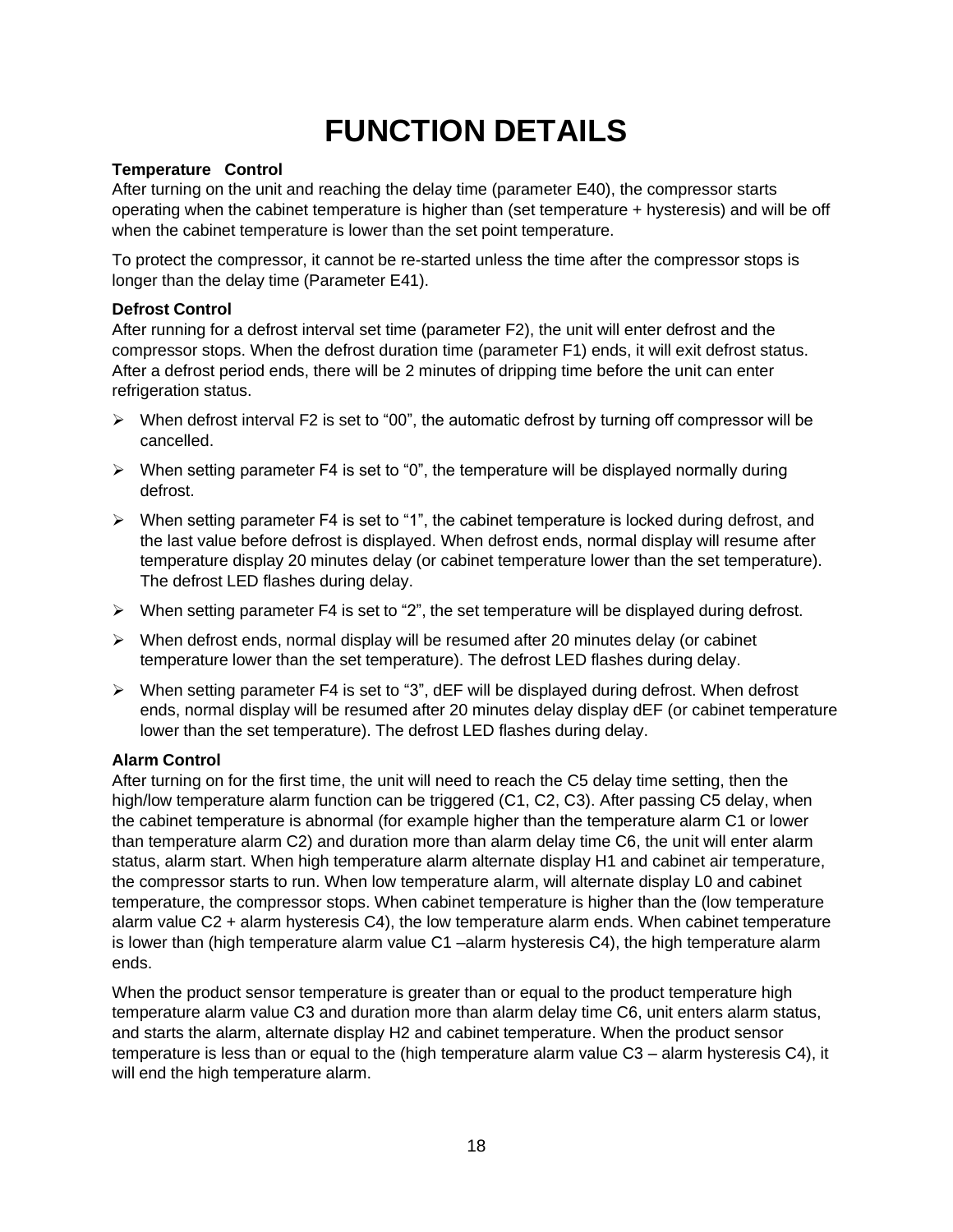### **FUNCTION DETAILS**

#### **Temperature Control**

<span id="page-17-0"></span>After turning on the unit and reaching the delay time (parameter E40), the compressor starts operating when the cabinet temperature is higher than (set temperature + hysteresis) and will be off when the cabinet temperature is lower than the set point temperature.

To protect the compressor, it cannot be re-started unless the time after the compressor stops is longer than the delay time (Parameter E41).

#### <span id="page-17-1"></span>**Defrost Control**

After running for a defrost interval set time (parameter F2), the unit will enter defrost and the compressor stops. When the defrost duration time (parameter F1) ends, it will exit defrost status. After a defrost period ends, there will be 2 minutes of dripping time before the unit can enter refrigeration status.

- $\triangleright$  When defrost interval F2 is set to "00", the automatic defrost by turning off compressor will be cancelled.
- ➢ When setting parameter F4 is set to "0", the temperature will be displayed normally during defrost.
- $\triangleright$  When setting parameter F4 is set to "1", the cabinet temperature is locked during defrost, and the last value before defrost is displayed. When defrost ends, normal display will resume after temperature display 20 minutes delay (or cabinet temperature lower than the set temperature). The defrost LED flashes during delay.
- $\triangleright$  When setting parameter F4 is set to "2", the set temperature will be displayed during defrost.
- $\triangleright$  When defrost ends, normal display will be resumed after 20 minutes delay (or cabinet temperature lower than the set temperature). The defrost LED flashes during delay.
- $\triangleright$  When setting parameter F4 is set to "3", dEF will be displayed during defrost. When defrost ends, normal display will be resumed after 20 minutes delay display dEF (or cabinet temperature lower than the set temperature). The defrost LED flashes during delay.

#### <span id="page-17-2"></span>**Alarm Control**

After turning on for the first time, the unit will need to reach the C5 delay time setting, then the high/low temperature alarm function can be triggered (C1, C2, C3). After passing C5 delay, when the cabinet temperature is abnormal (for example higher than the temperature alarm C1 or lower than temperature alarm C2) and duration more than alarm delay time C6, the unit will enter alarm status, alarm start. When high temperature alarm alternate display H1 and cabinet air temperature, the compressor starts to run. When low temperature alarm, will alternate display L0 and cabinet temperature, the compressor stops. When cabinet temperature is higher than the (low temperature alarm value C2 + alarm hysteresis C4), the low temperature alarm ends. When cabinet temperature is lower than (high temperature alarm value C1 –alarm hysteresis C4), the high temperature alarm ends.

When the product sensor temperature is greater than or equal to the product temperature high temperature alarm value C3 and duration more than alarm delay time C6, unit enters alarm status, and starts the alarm, alternate display H2 and cabinet temperature. When the product sensor temperature is less than or equal to the (high temperature alarm value C3 – alarm hysteresis C4), it will end the high temperature alarm.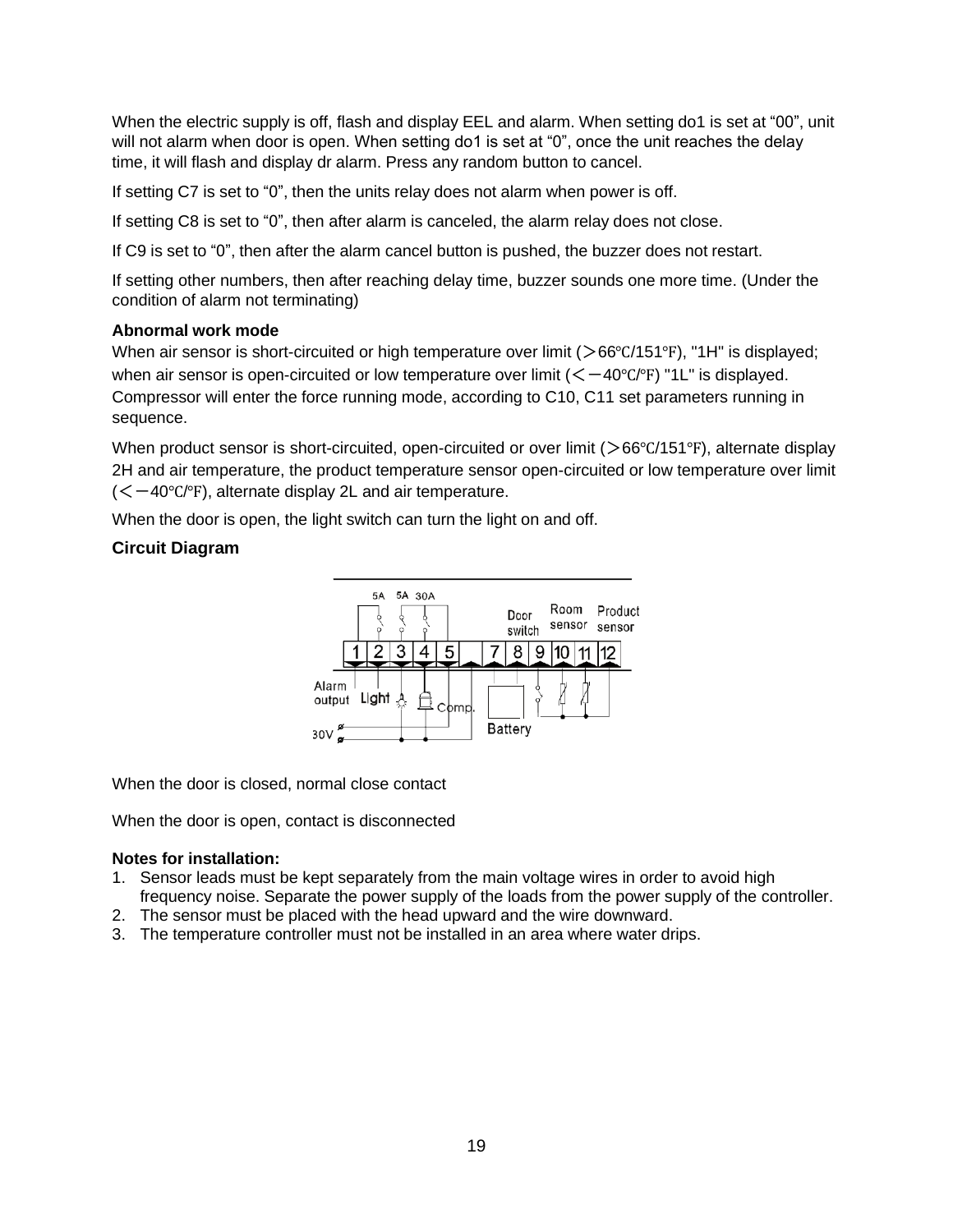When the electric supply is off, flash and display EEL and alarm. When setting do1 is set at "00", unit will not alarm when door is open. When setting do1 is set at "0", once the unit reaches the delay time, it will flash and display dr alarm. Press any random button to cancel.

If setting C7 is set to "0", then the units relay does not alarm when power is off.

If setting C8 is set to "0", then after alarm is canceled, the alarm relay does not close.

If C9 is set to "0", then after the alarm cancel button is pushed, the buzzer does not restart.

If setting other numbers, then after reaching delay time, buzzer sounds one more time. (Under the condition of alarm not terminating)

#### <span id="page-18-0"></span>**Abnormal work mode**

When air sensor is short-circuited or high temperature over limit (>66°C/151°F), "1H" is displayed; when air sensor is open-circuited or low temperature over limit  $(<-40°C/°F)$  "1L" is displayed. Compressor will enter the force running mode, according to C10, C11 set parameters running in sequence.

When product sensor is short-circuited, open-circuited or over limit (>66°C/151°F), alternate display 2H and air temperature, the product temperature sensor open-circuited or low temperature over limit  $(<-40°C/°F)$ , alternate display 2L and air temperature.

When the door is open, the light switch can turn the light on and off.

#### <span id="page-18-1"></span>**Circuit Diagram**



When the door is closed, normal close contact

When the door is open, contact is disconnected

#### **Notes for installation:**

- 1. Sensor leads must be kept separately from the main voltage wires in order to avoid high frequency noise. Separate the power supply of the loads from the power supply of the controller.
- 2. The sensor must be placed with the head upward and the wire downward.
- 3. The temperature controller must not be installed in an area where water drips.